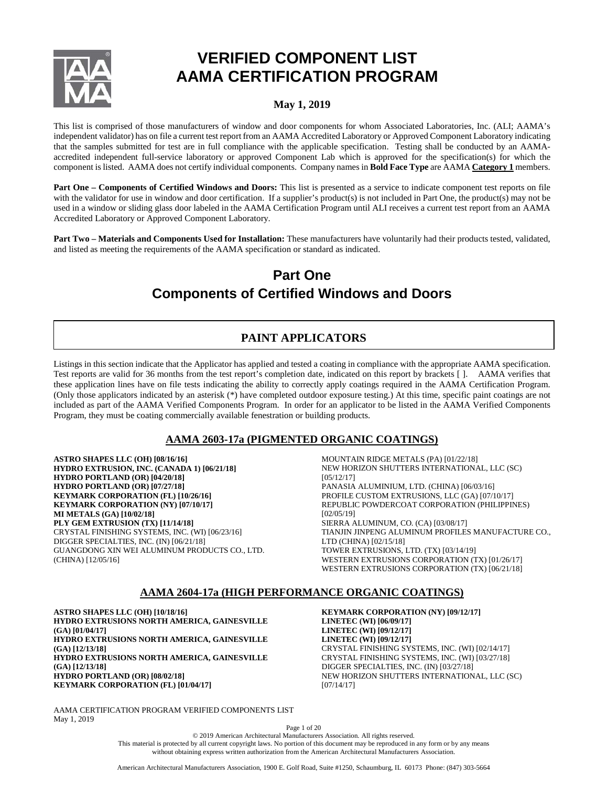

# **VERIFIED COMPONENT LIST AAMA CERTIFICATION PROGRAM**

# **May 1, 2019**

This list is comprised of those manufacturers of window and door components for whom Associated Laboratories, Inc. (ALI; AAMA's independent validator) has on file a current test report from an AAMA Accredited Laboratory or Approved Component Laboratory indicating that the samples submitted for test are in full compliance with the applicable specification. Testing shall be conducted by an AAMAaccredited independent full-service laboratory or approved Component Lab which is approved for the specification(s) for which the component is listed. AAMA does not certify individual components. Company names in **Bold Face Type** are AAMA **Category 1** members.

**Part One – Components of Certified Windows and Doors:** This list is presented as a service to indicate component test reports on file with the validator for use in window and door certification. If a supplier's product(s) is not included in Part One, the product(s) may not be used in a window or sliding glass door labeled in the AAMA Certification Program until ALI receives a current test report from an AAMA Accredited Laboratory or Approved Component Laboratory.

**Part Two – Materials and Components Used for Installation:** These manufacturers have voluntarily had their products tested, validated, and listed as meeting the requirements of the AAMA specification or standard as indicated.

# **Part One Components of Certified Windows and Doors**

# **PAINT APPLICATORS**

Listings in this section indicate that the Applicator has applied and tested a coating in compliance with the appropriate AAMA specification. Test reports are valid for 36 months from the test report's completion date, indicated on this report by brackets [ ]. AAMA verifies that these application lines have on file tests indicating the ability to correctly apply coatings required in the AAMA Certification Program. (Only those applicators indicated by an asterisk (\*) have completed outdoor exposure testing.) At this time, specific paint coatings are not included as part of the AAMA Verified Components Program. In order for an applicator to be listed in the AAMA Verified Components Program, they must be coating commercially available fenestration or building products.

# **AAMA 2603-17a (PIGMENTED ORGANIC COATINGS)**

**ASTRO SHAPES LLC (OH) [08/16/16] HYDRO EXTRUSION, INC. (CANADA 1) [06/21/18] HYDRO PORTLAND (OR) [04/20/18] HYDRO PORTLAND (OR) [07/27/18] KEYMARK CORPORATION (FL) [10/26/16] KEYMARK CORPORATION (NY) [07/10/17] MI METALS (GA) [10/02/18] PLY GEM EXTRUSION (TX) [11/14/18]** CRYSTAL FINISHING SYSTEMS, INC. (WI) [06/23/16] DIGGER SPECIALTIES, INC. (IN) [06/21/18] GUANGDONG XIN WEI ALUMINUM PRODUCTS CO., LTD. (CHINA) [12/05/16]

MOUNTAIN RIDGE METALS (PA) [01/22/18] NEW HORIZON SHUTTERS INTERNATIONAL, LLC (SC) [05/12/17] PANASIA ALUMINIUM, LTD. (CHINA) [06/03/16] PROFILE CUSTOM EXTRUSIONS, LLC (GA) [07/10/17] REPUBLIC POWDERCOAT CORPORATION (PHILIPPINES) [02/05/19] SIERRA ALUMINUM, CO. (CA) [03/08/17] TIANJIN JINPENG ALUMINUM PROFILES MANUFACTURE CO., LTD (CHINA) [02/15/18] TOWER EXTRUSIONS, LTD. (TX) [03/14/19] WESTERN EXTRUSIONS CORPORATION (TX) [01/26/17] WESTERN EXTRUSIONS CORPORATION (TX) [06/21/18]

# **AAMA 2604-17a (HIGH PERFORMANCE ORGANIC COATINGS)**

**ASTRO SHAPES LLC (OH) [10/18/16] HYDRO EXTRUSIONS NORTH AMERICA, GAINESVILLE (GA) [01/04/17] HYDRO EXTRUSIONS NORTH AMERICA, GAINESVILLE (GA) [12/13/18] HYDRO EXTRUSIONS NORTH AMERICA, GAINESVILLE (GA) [12/13/18] HYDRO PORTLAND (OR) [08/02/18] KEYMARK CORPORATION (FL) [01/04/17]**

**KEYMARK CORPORATION (NY) [09/12/17] LINETEC (WI) [06/09/17] LINETEC (WI) [09/12/17] LINETEC (WI) [09/12/17]** CRYSTAL FINISHING SYSTEMS, INC. (WI) [02/14/17] CRYSTAL FINISHING SYSTEMS, INC. (WI) [03/27/18] DIGGER SPECIALTIES, INC. (IN) [03/27/18] NEW HORIZON SHUTTERS INTERNATIONAL, LLC (SC) [07/14/17]

AAMA CERTIFICATION PROGRAM VERIFIED COMPONENTS LIST May 1, 2019

Page 1 of 20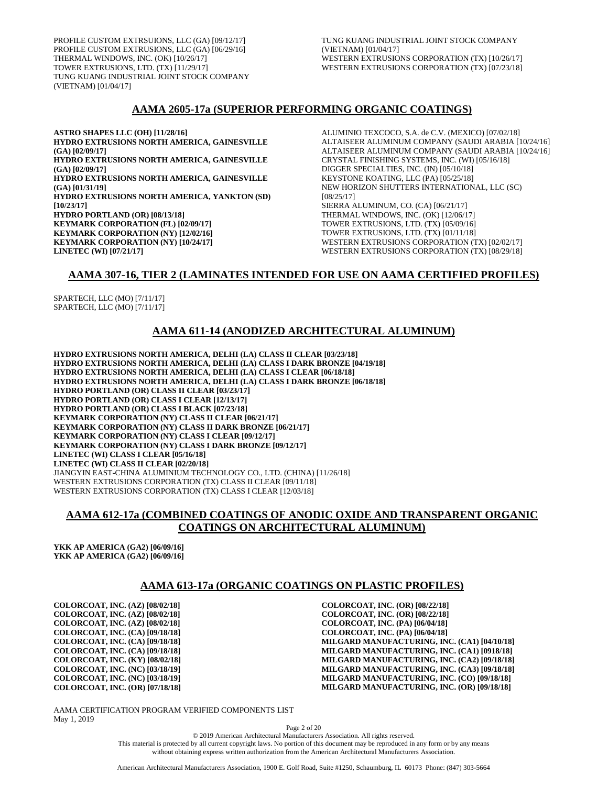PROFILE CUSTOM EXTRSUIONS, LLC (GA) [09/12/17] PROFILE CUSTOM EXTRUSIONS, LLC (GA) [06/29/16] THERMAL WINDOWS, INC. (OK) [10/26/17] TOWER EXTRUSIONS, LTD. (TX) [11/29/17] TUNG KUANG INDUSTRIAL JOINT STOCK COMPANY (VIETNAM) [01/04/17]

TUNG KUANG INDUSTRIAL JOINT STOCK COMPANY (VIETNAM) [01/04/17] WESTERN EXTRUSIONS CORPORATION (TX) [10/26/17] WESTERN EXTRUSIONS CORPORATION (TX) [07/23/18]

### **AAMA 2605-17a (SUPERIOR PERFORMING ORGANIC COATINGS)**

**ASTRO SHAPES LLC (OH) [11/28/16] HYDRO EXTRUSIONS NORTH AMERICA, GAINESVILLE (GA) [02/09/17] HYDRO EXTRUSIONS NORTH AMERICA, GAINESVILLE (GA) [02/09/17] HYDRO EXTRUSIONS NORTH AMERICA, GAINESVILLE (GA) [01/31/19] HYDRO EXTRUSIONS NORTH AMERICA, YANKTON (SD) [10/23/17] HYDRO PORTLAND (OR) [08/13/18] KEYMARK CORPORATION (FL) [02/09/17] KEYMARK CORPORATION (NY) [12/02/16] KEYMARK CORPORATION (NY) [10/24/17] LINETEC (WI) [07/21/17]**

ALUMINIO TEXCOCO, S.A. de C.V. (MEXICO) [07/02/18] ALTAISEER ALUMINUM COMPANY (SAUDI ARABIA [10/24/16] ALTAISEER ALUMINUM COMPANY (SAUDI ARABIA [10/24/16] CRYSTAL FINISHING SYSTEMS, INC. (WI) [05/16/18] DIGGER SPECIALTIES, INC. (IN) [05/10/18] KEYSTONE KOATING, LLC (PA) [05/25/18] NEW HORIZON SHUTTERS INTERNATIONAL, LLC (SC) [08/25/17] SIERRA ALUMINUM, CO. (CA) [06/21/17] THERMAL WINDOWS, INC. (OK) [12/06/17] TOWER EXTRUSIONS, LTD. (TX) [05/09/16] TOWER EXTRUSIONS, LTD. (TX) [01/11/18] WESTERN EXTRUSIONS CORPORATION (TX) [02/02/17] WESTERN EXTRUSIONS CORPORATION (TX) [08/29/18]

### **AAMA 307-16, TIER 2 (LAMINATES INTENDED FOR USE ON AAMA CERTIFIED PROFILES)**

SPARTECH, LLC (MO) [7/11/17] SPARTECH, LLC (MO) [7/11/17]

# **AAMA 611-14 (ANODIZED ARCHITECTURAL ALUMINUM)**

**HYDRO EXTRUSIONS NORTH AMERICA, DELHI (LA) CLASS II CLEAR [03/23/18] HYDRO EXTRUSIONS NORTH AMERICA, DELHI (LA) CLASS I DARK BRONZE [04/19/18] HYDRO EXTRUSIONS NORTH AMERICA, DELHI (LA) CLASS I CLEAR [06/18/18] HYDRO EXTRUSIONS NORTH AMERICA, DELHI (LA) CLASS I DARK BRONZE [06/18/18] HYDRO PORTLAND (OR) CLASS II CLEAR [03/23/17] HYDRO PORTLAND (OR) CLASS I CLEAR [12/13/17] HYDRO PORTLAND (OR) CLASS I BLACK [07/23/18] KEYMARK CORPORATION (NY) CLASS II CLEAR [06/21/17] KEYMARK CORPORATION (NY) CLASS II DARK BRONZE [06/21/17] KEYMARK CORPORATION (NY) CLASS I CLEAR [09/12/17] KEYMARK CORPORATION (NY) CLASS I DARK BRONZE [09/12/17] LINETEC (WI) CLASS I CLEAR [05/16/18] LINETEC (WI) CLASS II CLEAR [02/20/18]** JIANGYIN EAST-CHINA ALUMINIUM TECHNOLOGY CO., LTD. (CHINA) [11/26/18] WESTERN EXTRUSIONS CORPORATION (TX) CLASS II CLEAR [09/11/18] WESTERN EXTRUSIONS CORPORATION (TX) CLASS I CLEAR [12/03/18]

### **AAMA 612-17a (COMBINED COATINGS OF ANODIC OXIDE AND TRANSPARENT ORGANIC COATINGS ON ARCHITECTURAL ALUMINUM)**

**YKK AP AMERICA (GA2) [06/09/16] YKK AP AMERICA (GA2) [06/09/16]**

### **AAMA 613-17a (ORGANIC COATINGS ON PLASTIC PROFILES)**

**COLORCOAT, INC. (AZ) [08/02/18] COLORCOAT, INC. (AZ) [08/02/18] COLORCOAT, INC. (AZ) [08/02/18] COLORCOAT, INC. (CA) [09/18/18] COLORCOAT, INC. (CA) [09/18/18] COLORCOAT, INC. (CA) [09/18/18] COLORCOAT, INC. (KY) [08/02/18] COLORCOAT, INC. (NC) [03/18/19] COLORCOAT, INC. (NC) [03/18/19] COLORCOAT, INC. (OR) [07/18/18]**

**COLORCOAT, INC. (OR) [08/22/18] COLORCOAT, INC. (OR) [08/22/18] COLORCOAT, INC. (PA) [06/04/18] COLORCOAT, INC. (PA) [06/04/18] MILGARD MANUFACTURING, INC. (CA1) [04/10/18] MILGARD MANUFACTURING, INC. (CA1) [0918/18] MILGARD MANUFACTURING, INC. (CA2) [09/18/18] MILGARD MANUFACTURING, INC. (CA3) [09/18/18] MILGARD MANUFACTURING, INC. (CO) [09/18/18] MILGARD MANUFACTURING, INC. (OR) [09/18/18]**

AAMA CERTIFICATION PROGRAM VERIFIED COMPONENTS LIST May 1, 2019

Page 2 of 20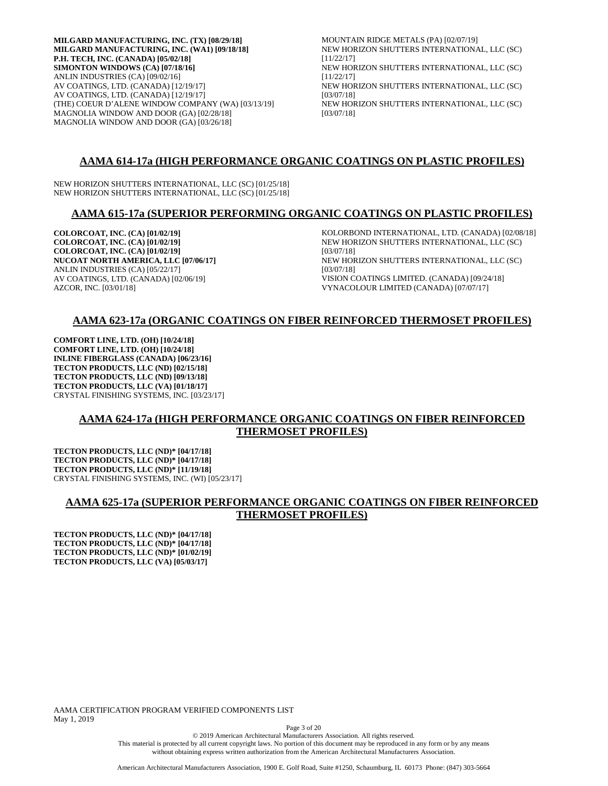**MILGARD MANUFACTURING, INC. (TX) [08/29/18] MILGARD MANUFACTURING, INC. (WA1) [09/18/18] P.H. TECH, INC. (CANADA) [05/02/18] SIMONTON WINDOWS (CA) [07/18/16]** ANLIN INDUSTRIES (CA) [09/02/16] AV COATINGS, LTD. (CANADA) [12/19/17] AV COATINGS, LTD. (CANADA) [12/19/17] (THE) COEUR D'ALENE WINDOW COMPANY (WA) [03/13/19] MAGNOLIA WINDOW AND DOOR (GA) [02/28/18] MAGNOLIA WINDOW AND DOOR (GA) [03/26/18]

MOUNTAIN RIDGE METALS (PA) [02/07/19] NEW HORIZON SHUTTERS INTERNATIONAL, LLC (SC) [11/22/17] NEW HORIZON SHUTTERS INTERNATIONAL, LLC (SC) [11/22/17] NEW HORIZON SHUTTERS INTERNATIONAL, LLC (SC) [03/07/18] NEW HORIZON SHUTTERS INTERNATIONAL, LLC (SC) [03/07/18]

# **AAMA 614-17a (HIGH PERFORMANCE ORGANIC COATINGS ON PLASTIC PROFILES)**

NEW HORIZON SHUTTERS INTERNATIONAL, LLC (SC) [01/25/18] NEW HORIZON SHUTTERS INTERNATIONAL, LLC (SC) [01/25/18]

### **AAMA 615-17a (SUPERIOR PERFORMING ORGANIC COATINGS ON PLASTIC PROFILES)**

**COLORCOAT, INC. (CA) [01/02/19] COLORCOAT, INC. (CA) [01/02/19] COLORCOAT, INC. (CA) [01/02/19] NUCOAT NORTH AMERICA, LLC [07/06/17]** ANLIN INDUSTRIES (CA) [05/22/17] AV COATINGS, LTD. (CANADA) [02/06/19] AZCOR, INC. [03/01/18]

KOLORBOND INTERNATIONAL, LTD. (CANADA) [02/08/18] NEW HORIZON SHUTTERS INTERNATIONAL, LLC (SC) [03/07/18] NEW HORIZON SHUTTERS INTERNATIONAL, LLC (SC) [03/07/18] VISION COATINGS LIMITED. (CANADA) [09/24/18] VYNACOLOUR LIMITED (CANADA) [07/07/17]

# **AAMA 623-17a (ORGANIC COATINGS ON FIBER REINFORCED THERMOSET PROFILES)**

**COMFORT LINE, LTD. (OH) [10/24/18] COMFORT LINE, LTD. (OH) [10/24/18] INLINE FIBERGLASS (CANADA) [06/23/16] TECTON PRODUCTS, LLC (ND) [02/15/18] TECTON PRODUCTS, LLC (ND) [09/13/18] TECTON PRODUCTS, LLC (VA) [01/18/17]** CRYSTAL FINISHING SYSTEMS, INC. [03/23/17]

# **AAMA 624-17a (HIGH PERFORMANCE ORGANIC COATINGS ON FIBER REINFORCED THERMOSET PROFILES)**

**TECTON PRODUCTS, LLC (ND)\* [04/17/18] TECTON PRODUCTS, LLC (ND)\* [04/17/18] TECTON PRODUCTS, LLC (ND)\* [11/19/18]** CRYSTAL FINISHING SYSTEMS, INC. (WI) [05/23/17]

# **AAMA 625-17a (SUPERIOR PERFORMANCE ORGANIC COATINGS ON FIBER REINFORCED THERMOSET PROFILES)**

**TECTON PRODUCTS, LLC (ND)\* [04/17/18] TECTON PRODUCTS, LLC (ND)\* [04/17/18] TECTON PRODUCTS, LLC (ND)\* [01/02/19] TECTON PRODUCTS, LLC (VA) [05/03/17]**

AAMA CERTIFICATION PROGRAM VERIFIED COMPONENTS LIST May 1, 2019

Page 3 of 20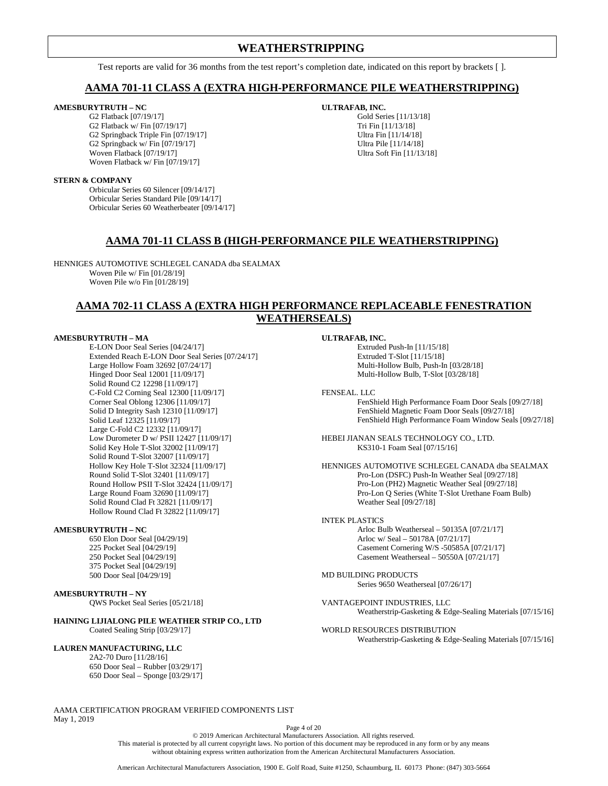# **WEATHERSTRIPPING**

Test reports are valid for 36 months from the test report's completion date, indicated on this report by brackets [ ].

### **AAMA 701-11 CLASS A (EXTRA HIGH-PERFORMANCE PILE WEATHERSTRIPPING)**

### **AMESBURYTRUTH – NC**

G2 Flatback [07/19/17] G2 Flatback w/ Fin [07/19/17] G2 Springback Triple Fin [07/19/17] G2 Springback w/ Fin [07/19/17] Woven Flatback [07/19/17] Woven Flatback w/ Fin [07/19/17]

#### **ULTRAFAB, INC.** Gold Series [11/13/18] Tri Fin [11/13/18] Ultra Fin [11/14/18]

Ultra Pile [11/14/18] Ultra Soft Fin [11/13/18]

### **STERN & COMPANY**

Orbicular Series 60 Silencer [09/14/17] Orbicular Series Standard Pile [09/14/17] Orbicular Series 60 Weatherbeater [09/14/17]

# **AAMA 701-11 CLASS B (HIGH-PERFORMANCE PILE WEATHERSTRIPPING)**

HENNIGES AUTOMOTIVE SCHLEGEL CANADA dba SEALMAX Woven Pile w/ Fin [01/28/19] Woven Pile w/o Fin [01/28/19]

# **AAMA 702-11 CLASS A (EXTRA HIGH PERFORMANCE REPLACEABLE FENESTRATION WEATHERSEALS)**

### **AMESBURYTRUTH – MA**

E-LON Door Seal Series [04/24/17] Extended Reach E-LON Door Seal Series [07/24/17] Large Hollow Foam 32692 [07/24/17] Hinged Door Seal 12001 [11/09/17] Solid Round C2 12298 [11/09/17] C-Fold C2 Corning Seal 12300 [11/09/17] Corner Seal Oblong 12306 [11/09/17] Solid D Integrity Sash 12310 [11/09/17] Solid Leaf 12325 [11/09/17] Large C-Fold C2 12332 [11/09/17] Low Durometer D w/ PSII 12427 [11/09/17] Solid Key Hole T-Slot 32002 [11/09/17] Solid Round T-Slot 32007 [11/09/17] Hollow Key Hole T-Slot 32324 [11/09/17] Round Solid T-Slot 32401 [11/09/17] Round Hollow PSII T-Slot 32424 [11/09/17] Large Round Foam 32690 [11/09/17] Solid Round Clad Ft 32821 [11/09/17] Hollow Round Clad Ft 32822 [11/09/17]

### **AMESBURYTRUTH – NC**

650 Elon Door Seal [04/29/19] 225 Pocket Seal [04/29/19] 250 Pocket Seal [04/29/19] 375 Pocket Seal [04/29/19] 500 Door Seal [04/29/19]

### **AMESBURYTRUTH – NY**

QWS Pocket Seal Series [05/21/18]

### **HAINING LIJIALONG PILE WEATHER STRIP CO., LTD** Coated Sealing Strip [03/29/17]

### **LAUREN MANUFACTURING, LLC**

2A2-70 Duro [11/28/16] 650 Door Seal – Rubber [03/29/17] 650 Door Seal – Sponge [03/29/17]

AAMA CERTIFICATION PROGRAM VERIFIED COMPONENTS LIST May 1, 2019

**ULTRAFAB, INC.**

Extruded Push-In [11/15/18] Extruded T-Slot [11/15/18] Multi-Hollow Bulb, Push-In [03/28/18] Multi-Hollow Bulb, T-Slot [03/28/18]

FENSEAL. LLC

FenShield High Performance Foam Door Seals [09/27/18] FenShield Magnetic Foam Door Seals [09/27/18] FenShield High Performance Foam Window Seals [09/27/18]

HEBEI JIANAN SEALS TECHNOLOGY CO., LTD. KS310-1 Foam Seal [07/15/16]

HENNIGES AUTOMOTIVE SCHLEGEL CANADA dba SEALMAX Pro-Lon (DSFC) Push-In Weather Seal [09/27/18] Pro-Lon (PH2) Magnetic Weather Seal [09/27/18] Pro-Lon Q Series (White T-Slot Urethane Foam Bulb) Weather Seal [09/27/18]

#### INTEK PLASTICS

Arloc Bulb Weatherseal – 50135A [07/21/17] Arloc w/ Seal – 50178A [07/21/17] Casement Cornering W/S -50585A [07/21/17] Casement Weatherseal – 50550A [07/21/17]

MD BUILDING PRODUCTS Series 9650 Weatherseal [07/26/17]

VANTAGEPOINT INDUSTRIES, LLC Weatherstrip-Gasketing & Edge-Sealing Materials [07/15/16]

WORLD RESOURCES DISTRIBUTION Weatherstrip-Gasketing & Edge-Sealing Materials [07/15/16]

Page 4 of 20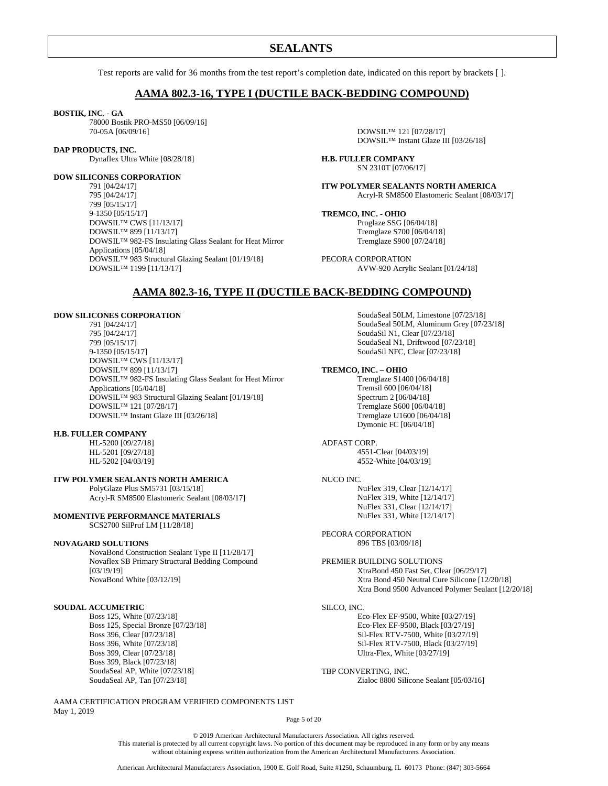# **SEALANTS**

Test reports are valid for 36 months from the test report's completion date, indicated on this report by brackets [ ].

### **AAMA 802.3-16, TYPE I (DUCTILE BACK-BEDDING COMPOUND)**

### **BOSTIK, INC**. - **GA**

78000 Bostik PRO-MS50 [06/09/16] 70-05A [06/09/16]

#### **DAP PRODUCTS, INC.**

Dynaflex Ultra White [08/28/18]

### **DOW SILICONES CORPORATION**

791 [04/24/17] 795 [04/24/17] 799 [05/15/17] 9-1350 [05/15/17] DOWSIL™ CWS [11/13/17] DOWSIL™ 899 [11/13/17] DOWSIL™ 982-FS Insulating Glass Sealant for Heat Mirror Applications [05/04/18] DOWSIL™ 983 Structural Glazing Sealant [01/19/18] DOWSIL™ 1199 [11/13/17]

DOWSIL™ 121 [07/28/17] DOWSIL™ Instant Glaze III [03/26/18]

**H.B. FULLER COMPANY** SN 2310T [07/06/17]

**ITW POLYMER SEALANTS NORTH AMERICA** Acryl-R SM8500 Elastomeric Sealant [08/03/17]

**TREMCO, INC. - OHIO** Proglaze SSG [06/04/18] Tremglaze S700 [06/04/18] Tremglaze S900 [07/24/18]

PECORA CORPORATION AVW-920 Acrylic Sealant [01/24/18]

### **AAMA 802.3-16, TYPE II (DUCTILE BACK-BEDDING COMPOUND)**

### **DOW SILICONES CORPORATION**

791 [04/24/17] 795 [04/24/17] 799 [05/15/17] 9-1350 [05/15/17] DOWSIL™ CWS [11/13/17] DOWSIL™ 899 [11/13/17] DOWSIL™ 982-FS Insulating Glass Sealant for Heat Mirror Applications [05/04/18] DOWSIL™ 983 Structural Glazing Sealant [01/19/18] DOWSIL™ 121 [07/28/17] DOWSIL™ Instant Glaze III [03/26/18]

#### **H.B. FULLER COMPANY**

HL-5200 [09/27/18] HL-5201 [09/27/18] HL-5202 [04/03/19]

### **ITW POLYMER SEALANTS NORTH AMERICA**

PolyGlaze Plus SM5731 [03/15/18] Acryl-R SM8500 Elastomeric Sealant [08/03/17]

#### **MOMENTIVE PERFORMANCE MATERIALS**

SCS2700 SilPruf LM [11/28/18]

#### **NOVAGARD SOLUTIONS**

NovaBond Construction Sealant Type II [11/28/17] Novaflex SB Primary Structural Bedding Compound [03/19/19] NovaBond White [03/12/19]

### **SOUDAL ACCUMETRIC**

Boss 125, White [07/23/18] Boss 125, Special Bronze [07/23/18] Boss 396, Clear [07/23/18] Boss 396, White [07/23/18] Boss 399, Clear [07/23/18] Boss 399, Black [07/23/18] SoudaSeal AP, White [07/23/18] SoudaSeal AP, Tan [07/23/18]

AAMA CERTIFICATION PROGRAM VERIFIED COMPONENTS LIST May 1, 2019

SoudaSeal 50LM, Limestone [07/23/18] SoudaSeal 50LM, Aluminum Grey [07/23/18] SoudaSil N1, Clear [07/23/18] SoudaSeal N1, Driftwood [07/23/18] SoudaSil NFC, Clear [07/23/18]

#### **TREMCO, INC. – OHIO**

Tremglaze S1400 [06/04/18] Tremsil 600 [06/04/18] Spectrum 2 [06/04/18] Tremglaze S600 [06/04/18] Tremglaze U1600 [06/04/18] Dymonic FC [06/04/18]

ADFAST CORP. 4551-Clear [04/03/19] 4552-White [04/03/19]

#### NUCO INC.

NuFlex 319, Clear [12/14/17] NuFlex 319, White [12/14/17] NuFlex 331, Clear [12/14/17] NuFlex 331, White [12/14/17]

### PECORA CORPORATION

896 TBS [03/09/18]

### PREMIER BUILDING SOLUTIONS XtraBond 450 Fast Set, Clear [06/29/17] Xtra Bond 450 Neutral Cure Silicone [12/20/18] Xtra Bond 9500 Advanced Polymer Sealant [12/20/18]

SILCO, INC.

Eco-Flex EF-9500, White [03/27/19] Eco-Flex EF-9500, Black [03/27/19] Sil-Flex RTV-7500, White [03/27/19] Sil-Flex RTV-7500, Black [03/27/19] Ultra-Flex, White [03/27/19]

TBP CONVERTING, INC. Zialoc 8800 Silicone Sealant [05/03/16]

Page 5 of 20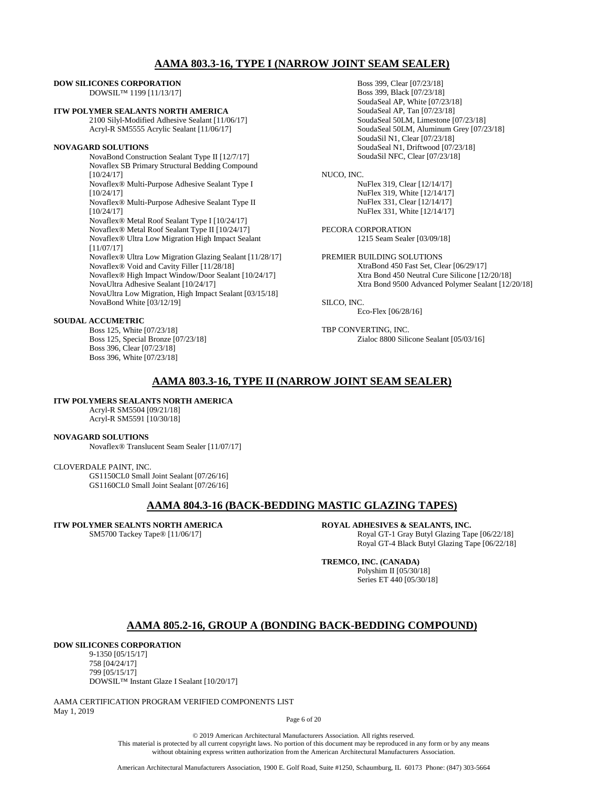### **AAMA 803.3-16, TYPE I (NARROW JOINT SEAM SEALER)**

#### **DOW SILICONES CORPORATION**  DOWSIL™ 1199 [11/13/17]

### **ITW POLYMER SEALANTS NORTH AMERICA**

2100 Silyl-Modified Adhesive Sealant [11/06/17] Acryl-R SM5555 Acrylic Sealant [11/06/17]

### **NOVAGARD SOLUTIONS**

NovaBond Construction Sealant Type II [12/7/17] Novaflex SB Primary Structural Bedding Compound [10/24/17] Novaflex® Multi-Purpose Adhesive Sealant Type I [10/24/17] Novaflex® Multi-Purpose Adhesive Sealant Type II [10/24/17] Novaflex® Metal Roof Sealant Type I [10/24/17] Novaflex® Metal Roof Sealant Type II [10/24/17] Novaflex® Ultra Low Migration High Impact Sealant [11/07/17] Novaflex® Ultra Low Migration Glazing Sealant [11/28/17] Novaflex® Void and Cavity Filler [11/28/18] Novaflex® High Impact Window/Door Sealant [10/24/17] NovaUltra Adhesive Sealant [10/24/17] NovaUltra Low Migration, High Impact Sealant [03/15/18] NovaBond White [03/12/19]

### **SOUDAL ACCUMETRIC**

Boss 125, White [07/23/18] Boss 125, Special Bronze [07/23/18] Boss 396, Clear [07/23/18] Boss 396, White [07/23/18]

Boss 399, Clear [07/23/18] Boss 399, Black [07/23/18] SoudaSeal AP, White [07/23/18] SoudaSeal AP, Tan [07/23/18] SoudaSeal 50LM, Limestone [07/23/18] SoudaSeal 50LM, Aluminum Grey [07/23/18] SoudaSil N1, Clear [07/23/18] SoudaSeal N1, Driftwood [07/23/18] SoudaSil NFC, Clear [07/23/18]

### NUCO, INC.

NuFlex 319, Clear [12/14/17] NuFlex 319, White [12/14/17] NuFlex 331, Clear [12/14/17] NuFlex 331, White [12/14/17]

PECORA CORPORATION 1215 Seam Sealer [03/09/18]

PREMIER BUILDING SOLUTIONS XtraBond 450 Fast Set, Clear [06/29/17] Xtra Bond 450 Neutral Cure Silicone [12/20/18] Xtra Bond 9500 Advanced Polymer Sealant [12/20/18]

SILCO, INC.

Eco-Flex [06/28/16]

TBP CONVERTING, INC. Zialoc 8800 Silicone Sealant [05/03/16]

### **AAMA 803.3-16, TYPE II (NARROW JOINT SEAM SEALER)**

### **ITW POLYMERS SEALANTS NORTH AMERICA**

Acryl-R SM5504 [09/21/18] Acryl-R SM5591 [10/30/18]

### **NOVAGARD SOLUTIONS**

Novaflex® Translucent Seam Sealer [11/07/17]

#### CLOVERDALE PAINT, INC.

GS1150CL0 Small Joint Sealant [07/26/16] GS1160CL0 Small Joint Sealant [07/26/16]

### **AAMA 804.3-16 (BACK-BEDDING MASTIC GLAZING TAPES)**

### **ITW POLYMER SEALNTS NORTH AMERICA**

SM5700 Tackey Tape® [11/06/17]

**ROYAL ADHESIVES & SEALANTS, INC.** Royal GT-1 Gray Butyl Glazing Tape [06/22/18]

Royal GT-4 Black Butyl Glazing Tape [06/22/18]

# **TREMCO, INC. (CANADA)**

Polyshim II [05/30/18] Series ET 440 [05/30/18]

### **AAMA 805.2-16, GROUP A (BONDING BACK-BEDDING COMPOUND)**

### **DOW SILICONES CORPORATION**

9-1350 [05/15/17] 758 [04/24/17] 799 [05/15/17] DOWSIL™ Instant Glaze I Sealant [10/20/17]

AAMA CERTIFICATION PROGRAM VERIFIED COMPONENTS LIST May 1, 2019

Page 6 of 20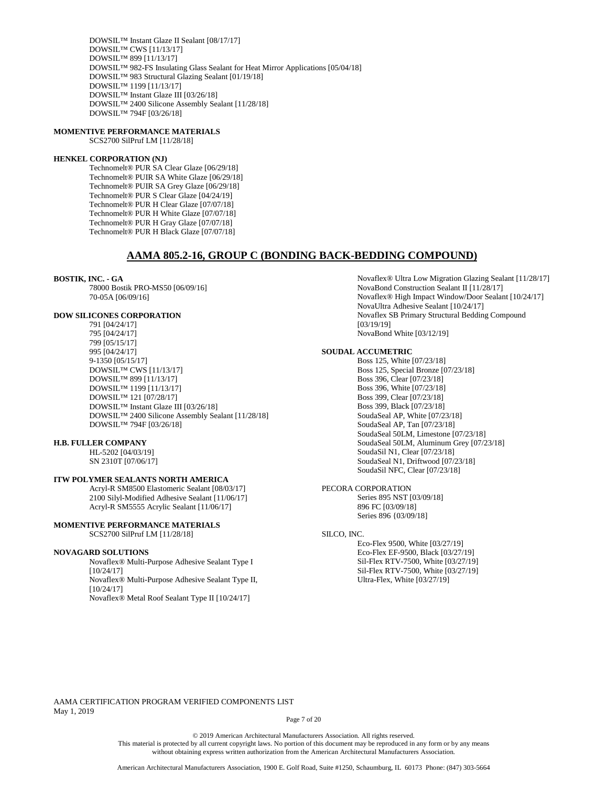DOWSIL™ Instant Glaze II Sealant [08/17/17] DOWSIL™ CWS [11/13/17] DOWSIL™ 899 [11/13/17] DOWSIL™ 982-FS Insulating Glass Sealant for Heat Mirror Applications [05/04/18] DOWSIL™ 983 Structural Glazing Sealant [01/19/18] DOWSIL™ 1199 [11/13/17] DOWSIL™ Instant Glaze III [03/26/18] DOWSIL™ 2400 Silicone Assembly Sealant [11/28/18] DOWSIL™ 794F [03/26/18]

### **MOMENTIVE PERFORMANCE MATERIALS**

SCS2700 SilPruf LM [11/28/18]

### **HENKEL CORPORATION (NJ)**

Technomelt® PUR SA Clear Glaze [06/29/18] Technomelt® PUIR SA White Glaze [06/29/18] Technomelt® PUIR SA Grey Glaze [06/29/18] Technomelt® PUR S Clear Glaze [04/24/19] Technomelt® PUR H Clear Glaze [07/07/18] Technomelt® PUR H White Glaze [07/07/18] Technomelt® PUR H Gray Glaze [07/07/18] Technomelt® PUR H Black Glaze [07/07/18]

### **AAMA 805.2-16, GROUP C (BONDING BACK-BEDDING COMPOUND)**

### **BOSTIK, INC. - GA**

78000 Bostik PRO-MS50 [06/09/16] 70-05A [06/09/16]

#### **DOW SILICONES CORPORATION**

791 [04/24/17] 795 [04/24/17] 799 [05/15/17] 995 [04/24/17] 9-1350 [05/15/17] DOWSIL™ CWS [11/13/17] DOWSIL™ 899 [11/13/17] DOWSIL™ 1199 [11/13/17] DOWSIL™ 121 [07/28/17] DOWSIL™ Instant Glaze III [03/26/18] DOWSIL™ 2400 Silicone Assembly Sealant [11/28/18] DOWSIL™ 794F [03/26/18]

#### **H.B. FULLER COMPANY**

HL-5202 [04/03/19] SN 2310T [07/06/17]

### **ITW POLYMER SEALANTS NORTH AMERICA**

Acryl-R SM8500 Elastomeric Sealant [08/03/17] 2100 Silyl-Modified Adhesive Sealant [11/06/17] Acryl-R SM5555 Acrylic Sealant [11/06/17]

### **MOMENTIVE PERFORMANCE MATERIALS** SCS2700 SilPruf LM [11/28/18]

#### **NOVAGARD SOLUTIONS**

Novaflex® Multi-Purpose Adhesive Sealant Type I [10/24/17] Novaflex® Multi-Purpose Adhesive Sealant Type II, [10/24/17] Novaflex® Metal Roof Sealant Type II [10/24/17]

Novaflex® Ultra Low Migration Glazing Sealant [11/28/17] NovaBond Construction Sealant II [11/28/17] Novaflex® High Impact Window/Door Sealant [10/24/17] NovaUltra Adhesive Sealant [10/24/17] Novaflex SB Primary Structural Bedding Compound [03/19/19] NovaBond White [03/12/19]

### **SOUDAL ACCUMETRIC**

Boss 125, White [07/23/18] Boss 125, Special Bronze [07/23/18] Boss 396, Clear [07/23/18] Boss 396, White [07/23/18] Boss 399, Clear [07/23/18] Boss 399, Black [07/23/18] SoudaSeal AP, White [07/23/18] SoudaSeal AP, Tan [07/23/18] SoudaSeal 50LM, Limestone [07/23/18] SoudaSeal 50LM, Aluminum Grey [07/23/18] SoudaSil N1, Clear [07/23/18] SoudaSeal N1, Driftwood [07/23/18] SoudaSil NFC, Clear [07/23/18]

### PECORA CORPORATION

Series 895 NST [03/09/18] 896 FC [03/09/18] Series 896 {03/09/18]

#### SILCO, INC.

Eco-Flex 9500, White [03/27/19] Eco-Flex EF-9500, Black [03/27/19] Sil-Flex RTV-7500, White [03/27/19] Sil-Flex RTV-7500, White [03/27/19] Ultra-Flex, White [03/27/19]

AAMA CERTIFICATION PROGRAM VERIFIED COMPONENTS LIST May 1, 2019

Page 7 of 20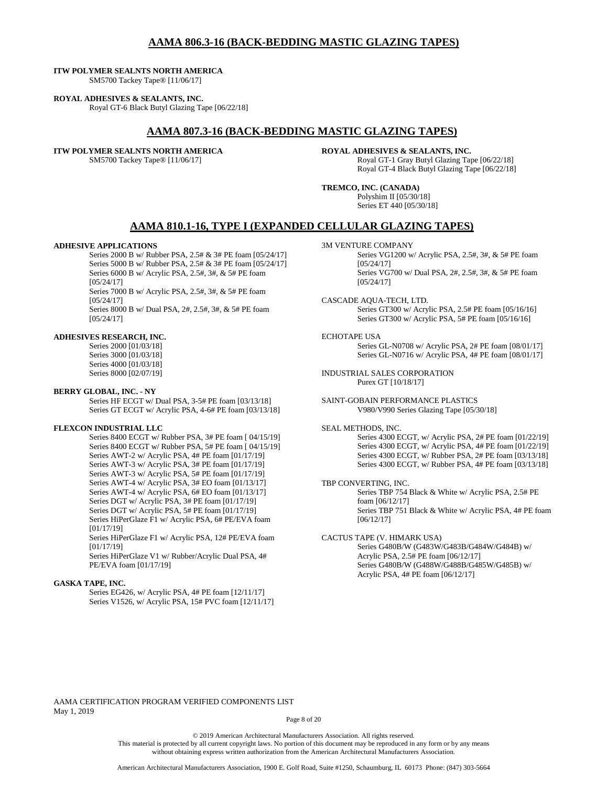### **AAMA 806.3-16 (BACK-BEDDING MASTIC GLAZING TAPES)**

### **ITW POLYMER SEALNTS NORTH AMERICA**

SM5700 Tackey Tape® [11/06/17]

#### **ROYAL ADHESIVES & SEALANTS, INC.**

Royal GT-6 Black Butyl Glazing Tape [06/22/18]

### **AAMA 807.3-16 (BACK-BEDDING MASTIC GLAZING TAPES)**

#### **ITW POLYMER SEALNTS NORTH AMERICA**

SM5700 Tackey Tape® [11/06/17]

**ROYAL ADHESIVES & SEALANTS, INC.** Royal GT-1 Gray Butyl Glazing Tape [06/22/18] Royal GT-4 Black Butyl Glazing Tape [06/22/18]

**TREMCO, INC. (CANADA)** Polyshim II [05/30/18] Series ET 440 [05/30/18]

### **AAMA 810.1-16, TYPE I (EXPANDED CELLULAR GLAZING TAPES)**

#### **ADHESIVE APPLICATIONS**

Series 2000 B w/ Rubber PSA, 2.5# & 3# PE foam [05/24/17] Series 5000 B w/ Rubber PSA, 2.5# & 3# PE foam [05/24/17] Series 6000 B w/ Acrylic PSA, 2.5#, 3#, & 5# PE foam [05/24/17] Series 7000 B w/ Acrylic PSA, 2.5#, 3#, & 5# PE foam [05/24/17] Series 8000 B w/ Dual PSA, 2#, 2.5#, 3#, & 5# PE foam [05/24/17]

#### **ADHESIVES RESEARCH, INC.**

Series 2000 [01/03/18] Series 3000 [01/03/18] Series 4000 [01/03/18] Series 8000 [02/07/19]

### **BERRY GLOBAL, INC. - NY**

Series HF ECGT w/ Dual PSA, 3-5# PE foam [03/13/18] Series GT ECGT w/ Acrylic PSA, 4-6# PE foam [03/13/18]

### **FLEXCON INDUSTRIAL LLC**

Series 8400 ECGT w/ Rubber PSA, 3# PE foam [ 04/15/19] Series 8400 ECGT w/ Rubber PSA, 5# PE foam [ 04/15/19] Series AWT-2 w/ Acrylic PSA, 4# PE foam [01/17/19] Series AWT-3 w/ Acrylic PSA, 3# PE foam [01/17/19] Series AWT-3 w/ Acrylic PSA, 5# PE foam [01/17/19] Series AWT-4 w/ Acrylic PSA, 3# EO foam [01/13/17] Series AWT-4 w/ Acrylic PSA, 6# EO foam [01/13/17] Series DGT w/ Acrylic PSA, 3# PE foam [01/17/19] Series DGT w/ Acrylic PSA, 5# PE foam [01/17/19] Series HiPerGlaze F1 w/ Acrylic PSA, 6# PE/EVA foam [01/17/19] Series HiPerGlaze F1 w/ Acrylic PSA, 12# PE/EVA foam [01/17/19]

Series HiPerGlaze V1 w/ Rubber/Acrylic Dual PSA, 4# PE/EVA foam [01/17/19]

### **GASKA TAPE, INC.**

Series EG426, w/ Acrylic PSA, 4# PE foam [12/11/17] Series V1526, w/ Acrylic PSA, 15# PVC foam [12/11/17]

- 3M VENTURE COMPANY
	- Series VG1200 w/ Acrylic PSA, 2.5#, 3#, & 5# PE foam [05/24/17] Series VG700 w/ Dual PSA, 2#, 2.5#, 3#, & 5# PE foam [05/24/17]

#### CASCADE AQUA-TECH, LTD.

Series GT300 w/ Acrylic PSA, 2.5# PE foam [05/16/16] Series GT300 w/ Acrylic PSA, 5# PE foam [05/16/16]

### ECHOTAPE USA

Series GL-N0708 w/ Acrylic PSA, 2# PE foam [08/01/17] Series GL-N0716 w/ Acrylic PSA, 4# PE foam [08/01/17]

#### INDUSTRIAL SALES CORPORATION Purex GT [10/18/17]

SAINT-GOBAIN PERFORMANCE PLASTICS V980/V990 Series Glazing Tape [05/30/18]

### SEAL METHODS, INC.

Series 4300 ECGT, w/ Acrylic PSA, 2# PE foam [01/22/19] Series 4300 ECGT, w/ Acrylic PSA, 4# PE foam [01/22/19] Series 4300 ECGT, w/ Rubber PSA, 2# PE foam [03/13/18] Series 4300 ECGT, w/ Rubber PSA, 4# PE foam [03/13/18]

#### TBP CONVERTING, INC.

Series TBP 754 Black & White w/ Acrylic PSA, 2.5# PE foam [06/12/17] Series TBP 751 Black & White w/ Acrylic PSA, 4# PE foam [06/12/17]

#### CACTUS TAPE (V. HIMARK USA) Series G480B/W (G483W/G483B/G484W/G484B) w/ Acrylic PSA, 2.5# PE foam [06/12/17] Series G480B/W (G488W/G488B/G485W/G485B) w/ Acrylic PSA, 4# PE foam [06/12/17]

AAMA CERTIFICATION PROGRAM VERIFIED COMPONENTS LIST May 1, 2019

Page 8 of 20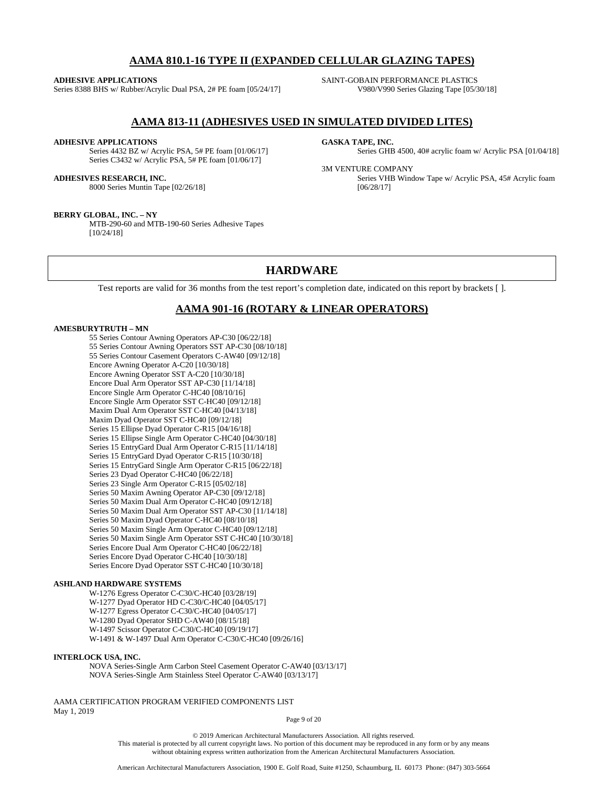# **AAMA 810.1-16 TYPE II (EXPANDED CELLULAR GLAZING TAPES)**

#### **ADHESIVE APPLICATIONS**

Series 8388 BHS w/ Rubber/Acrylic Dual PSA, 2# PE foam [05/24/17]

SAINT-GOBAIN PERFORMANCE PLASTICS V980/V990 Series Glazing Tape [05/30/18]

### **AAMA 813-11 (ADHESIVES USED IN SIMULATED DIVIDED LITES)**

### **ADHESIVE APPLICATIONS**

Series 4432 BZ w/ Acrylic PSA, 5# PE foam [01/06/17] Series C3432 w/ Acrylic PSA, 5# PE foam [01/06/17]

#### **ADHESIVES RESEARCH, INC.**

8000 Series Muntin Tape [02/26/18]

#### **BERRY GLOBAL, INC. – NY**

MTB-290-60 and MTB-190-60 Series Adhesive Tapes [10/24/18]

#### **GASKA TAPE, INC.**

Series GHB 4500, 40# acrylic foam w/ Acrylic PSA [01/04/18]

### 3M VENTURE COMPANY

Series VHB Window Tape w/ Acrylic PSA, 45# Acrylic foam [06/28/17]

### **HARDWARE**

Test reports are valid for 36 months from the test report's completion date, indicated on this report by brackets [ ].

### **AAMA 901-16 (ROTARY & LINEAR OPERATORS)**

### **AMESBURYTRUTH – MN**

55 Series Contour Awning Operators AP-C30 [06/22/18] 55 Series Contour Awning Operators SST AP-C30 [08/10/18] 55 Series Contour Casement Operators C-AW40 [09/12/18] Encore Awning Operator A-C20 [10/30/18] Encore Awning Operator SST A-C20 [10/30/18] Encore Dual Arm Operator SST AP-C30 [11/14/18] Encore Single Arm Operator C-HC40 [08/10/16] Encore Single Arm Operator SST C-HC40 [09/12/18] Maxim Dual Arm Operator SST C-HC40 [04/13/18] Maxim Dyad Operator SST C-HC40 [09/12/18] Series 15 Ellipse Dyad Operator C-R15 [04/16/18] Series 15 Ellipse Single Arm Operator C-HC40 [04/30/18] Series 15 EntryGard Dual Arm Operator C-R15 [11/14/18] Series 15 EntryGard Dyad Operator C-R15 [10/30/18] Series 15 EntryGard Single Arm Operator C-R15 [06/22/18] Series 23 Dyad Operator C-HC40 [06/22/18] Series 23 Single Arm Operator C-R15 [05/02/18] Series 50 Maxim Awning Operator AP-C30 [09/12/18] Series 50 Maxim Dual Arm Operator C-HC40 [09/12/18] Series 50 Maxim Dual Arm Operator SST AP-C30 [11/14/18] Series 50 Maxim Dyad Operator C-HC40 [08/10/18] Series 50 Maxim Single Arm Operator C-HC40 [09/12/18] Series 50 Maxim Single Arm Operator SST C-HC40 [10/30/18] Series Encore Dual Arm Operator C-HC40 [06/22/18] Series Encore Dyad Operator C-HC40 [10/30/18] Series Encore Dyad Operator SST C-HC40 [10/30/18]

#### **ASHLAND HARDWARE SYSTEMS**

W-1276 Egress Operator C-C30/C-HC40 [03/28/19] W-1277 Dyad Operator HD C-C30/C-HC40 [04/05/17] W-1277 Egress Operator C-C30/C-HC40 [04/05/17] W-1280 Dyad Operator SHD C-AW40 [08/15/18] W-1497 Scissor Operator C-C30/C-HC40 [09/19/17] W-1491 & W-1497 Dual Arm Operator C-C30/C-HC40 [09/26/16]

### **INTERLOCK USA, INC.**

NOVA Series-Single Arm Carbon Steel Casement Operator C-AW40 [03/13/17] NOVA Series-Single Arm Stainless Steel Operator C-AW40 [03/13/17]

AAMA CERTIFICATION PROGRAM VERIFIED COMPONENTS LIST May 1, 2019

Page 9 of 20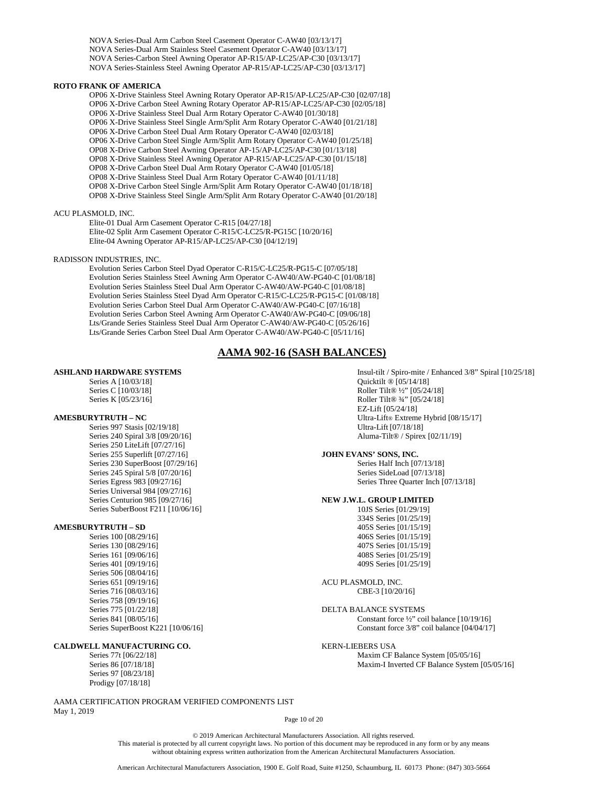NOVA Series-Dual Arm Carbon Steel Casement Operator C-AW40 [03/13/17] NOVA Series-Dual Arm Stainless Steel Casement Operator C-AW40 [03/13/17] NOVA Series-Carbon Steel Awning Operator AP-R15/AP-LC25/AP-C30 [03/13/17] NOVA Series-Stainless Steel Awning Operator AP-R15/AP-LC25/AP-C30 [03/13/17]

#### **ROTO FRANK OF AMERICA**

OP06 X-Drive Stainless Steel Awning Rotary Operator AP-R15/AP-LC25/AP-C30 [02/07/18] OP06 X-Drive Carbon Steel Awning Rotary Operator AP-R15/AP-LC25/AP-C30 [02/05/18] OP06 X-Drive Stainless Steel Dual Arm Rotary Operator C-AW40 [01/30/18] OP06 X-Drive Stainless Steel Single Arm/Split Arm Rotary Operator C-AW40 [01/21/18] OP06 X-Drive Carbon Steel Dual Arm Rotary Operator C-AW40 [02/03/18] OP06 X-Drive Carbon Steel Single Arm/Split Arm Rotary Operator C-AW40 [01/25/18] OP08 X-Drive Carbon Steel Awning Operator AP-15/AP-LC25/AP-C30 [01/13/18] OP08 X-Drive Stainless Steel Awning Operator AP-R15/AP-LC25/AP-C30 [01/15/18] OP08 X-Drive Carbon Steel Dual Arm Rotary Operator C-AW40 [01/05/18] OP08 X-Drive Stainless Steel Dual Arm Rotary Operator C-AW40 [01/11/18] OP08 X-Drive Carbon Steel Single Arm/Split Arm Rotary Operator C-AW40 [01/18/18] OP08 X-Drive Stainless Steel Single Arm/Split Arm Rotary Operator C-AW40 [01/20/18]

#### ACU PLASMOLD, INC.

Elite-01 Dual Arm Casement Operator C-R15 [04/27/18] Elite-02 Split Arm Casement Operator C-R15/C-LC25/R-PG15C [10/20/16] Elite-04 Awning Operator AP-R15/AP-LC25/AP-C30 [04/12/19]

#### RADISSON INDUSTRIES, INC.

Evolution Series Carbon Steel Dyad Operator C-R15/C-LC25/R-PG15-C [07/05/18] Evolution Series Stainless Steel Awning Arm Operator C-AW40/AW-PG40-C [01/08/18] Evolution Series Stainless Steel Dual Arm Operator C-AW40/AW-PG40-C [01/08/18] Evolution Series Stainless Steel Dyad Arm Operator C-R15/C-LC25/R-PG15-C [01/08/18] Evolution Series Carbon Steel Dual Arm Operator C-AW40/AW-PG40-C [07/16/18] Evolution Series Carbon Steel Awning Arm Operator C-AW40/AW-PG40-C [09/06/18] Lts/Grande Series Stainless Steel Dual Arm Operator C-AW40/AW-PG40-C [05/26/16] Lts/Grande Series Carbon Steel Dual Arm Operator C-AW40/AW-PG40-C [05/11/16]

### **AAMA 902-16 (SASH BALANCES)**

### **ASHLAND HARDWARE SYSTEMS**

Series A [10/03/18] Series C [10/03/18] Series K [05/23/16]

### **AMESBURYTRUTH – NC**

Series 997 Stasis [02/19/18] Series 240 Spiral 3/8 [09/20/16] Series 250 LiteLift [07/27/16] Series 255 Superlift [07/27/16] Series 230 SuperBoost [07/29/16] Series 245 Spiral 5/8 [07/20/16] Series Egress 983 [09/27/16] Series Universal 984 [09/27/16] Series Centurion 985 [09/27/16] Series SuberBoost F211 [10/06/16]

### **AMESBURYTRUTH – SD**

Series 100 [08/29/16] Series 130 [08/29/16] Series 161 [09/06/16] Series 401 [09/19/16] Series 506 [08/04/16] Series 651 [09/19/16] Series 716 [08/03/16] Series 758 [09/19/16] Series 775 [01/22/18] Series 841 [08/05/16] Series SuperBoost K221 [10/06/16]

### **CALDWELL MANUFACTURING CO.**

Series 77t [06/22/18] Series 86 [07/18/18] Series 97 [08/23/18] Prodigy [07/18/18]

AAMA CERTIFICATION PROGRAM VERIFIED COMPONENTS LIST May 1, 2019

Insul-tilt / Spiro-mite / Enhanced 3/8" Spiral [10/25/18] Quicktilt ® [05/14/18] Roller Tilt® ½" [05/24/18] Roller Tilt® ¾" [05/24/18] EZ-Lift [05/24/18] Ultra-Lift® Extreme Hybrid [08/15/17] Ultra-Lift [07/18/18] Aluma-Tilt® / Spirex [02/11/19]

### **JOHN EVANS' SONS, INC.**

Series Half Inch [07/13/18] Series SideLoad [07/13/18] Series Three Quarter Inch [07/13/18]

#### **NEW J.W.L. GROUP LIMITED**

10JS Series [01/29/19] 334S Series [01/25/19] 405S Series [01/15/19] 406S Series [01/15/19] 407S Series [01/15/19] 408S Series [01/25/19] 409S Series [01/25/19]

ACU PLASMOLD, INC. CBE-3 [10/20/16]

DELTA BALANCE SYSTEMS Constant force ½" coil balance [10/19/16] Constant force 3/8" coil balance [04/04/17]

### KERN-LIEBERS USA

Maxim CF Balance System [05/05/16] Maxim-I Inverted CF Balance System [05/05/16]

#### Page 10 of 20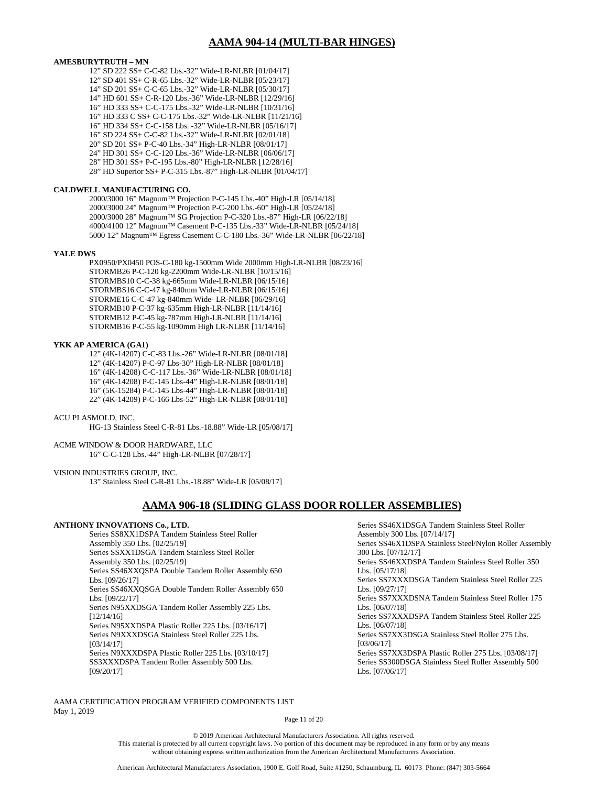### **AAMA 904-14 (MULTI-BAR HINGES)**

### **AMESBURYTRUTH – MN**

12" SD 222 SS+ C-C-82 Lbs.-32" Wide-LR-NLBR [01/04/17] 12" SD 401 SS+ C-R-65 Lbs.-32" Wide-LR-NLBR [05/23/17] 14" SD 201 SS+ C-C-65 Lbs.-32" Wide-LR-NLBR [05/30/17] 14" HD 601 SS+ C-R-120 Lbs.-36" Wide-LR-NLBR [12/29/16] 16" HD 333 SS+ C-C-175 Lbs.-32" Wide-LR-NLBR [10/31/16] 16" HD 333 C SS+ C-C-175 Lbs.-32" Wide-LR-NLBR [11/21/16] 16" HD 334 SS+ C-C-158 Lbs. -32" Wide-LR-NLBR [05/16/17] 16" SD 224 SS+ C-C-82 Lbs.-32" Wide-LR-NLBR [02/01/18] 20" SD 201 SS+ P-C-40 Lbs.-34" High-LR-NLBR [08/01/17] 24" HD 301 SS+ C-C-120 Lbs.-36" Wide-LR-NLBR [06/06/17] 28" HD 301 SS+ P-C-195 Lbs.-80" High-LR-NLBR [12/28/16] 28" HD Superior SS+ P-C-315 Lbs.-87" High-LR-NLBR [01/04/17]

### **CALDWELL MANUFACTURING CO.**

2000/3000 16" Magnum™ Projection P-C-145 Lbs.-40" High-LR [05/14/18] 2000/3000 24" Magnum™ Projection P-C-200 Lbs.-60" High-LR [05/24/18] 2000/3000 28" Magnum™ SG Projection P-C-320 Lbs.-87" High-LR [06/22/18] 4000/4100 12" Magnum™ Casement P-C-135 Lbs.-33" Wide-LR-NLBR [05/24/18] 5000 12" Magnum™ Egress Casement C-C-180 Lbs.-36" Wide-LR-NLBR [06/22/18]

#### **YALE DWS**

PX0950/PX0450 POS-C-180 kg-1500mm Wide 2000mm High-LR-NLBR [08/23/16] STORMB26 P-C-120 kg-2200mm Wide-LR-NLBR [10/15/16] STORMBS10 C-C-38 kg-665mm Wide-LR-NLBR [06/15/16] STORMBS16 C-C-47 kg-840mm Wide-LR-NLBR [06/15/16] STORME16 C-C-47 kg-840mm Wide- LR-NLBR [06/29/16] STORMB10 P-C-37 kg-635mm High-LR-NLBR [11/14/16] STORMB12 P-C-45 kg-787mm High-LR-NLBR [11/14/16] STORMB16 P-C-55 kg-1090mm High LR-NLBR [11/14/16]

#### **YKK AP AMERICA (GA1)**

12" (4K-14207) C-C-83 Lbs.-26" Wide-LR-NLBR [08/01/18] 12" (4K-14207) P-C-97 Lbs-30" High-LR-NLBR [08/01/18] 16" (4K-14208) C-C-117 Lbs.-36" Wide-LR-NLBR [08/01/18] 16" (4K-14208) P-C-145 Lbs-44" High-LR-NLBR [08/01/18] 16" (5K-15284) P-C-145 Lbs-44" High-LR-NLBR [08/01/18] 22" (4K-14209) P-C-166 Lbs-52" High-LR-NLBR [08/01/18]

#### ACU PLASMOLD, INC.

HG-13 Stainless Steel C-R-81 Lbs.-18.88" Wide-LR [05/08/17]

#### ACME WINDOW & DOOR HARDWARE, LLC

16" C-C-128 Lbs.-44" High-LR-NLBR [07/28/17]

#### VISION INDUSTRIES GROUP, INC.

13" Stainless Steel C-R-81 Lbs.-18.88" Wide-LR [05/08/17]

### **AAMA 906-18 (SLIDING GLASS DOOR ROLLER ASSEMBLIES)**

### **ANTHONY INNOVATIONS Co., LTD.**

Series SS8XX1DSPA Tandem Stainless Steel Roller Assembly 350 Lbs. [02/25/19] Series SSXX1DSGA Tandem Stainless Steel Roller Assembly 350 Lbs. [02/25/19] Series SS46XXQSPA Double Tandem Roller Assembly 650 Lbs. [09/26/17] Series SS46XXQSGA Double Tandem Roller Assembly 650 Lbs. [09/22/17] Series N95XXDSGA Tandem Roller Assembly 225 Lbs. [12/14/16] Series N95XXDSPA Plastic Roller 225 Lbs. [03/16/17] Series N9XXXDSGA Stainless Steel Roller 225 Lbs. [03/14/17] Series N9XXXDSPA Plastic Roller 225 Lbs. [03/10/17] SS3XXXDSPA Tandem Roller Assembly 500 Lbs. [09/20/17]

Series SS46X1DSGA Tandem Stainless Steel Roller Assembly 300 Lbs. [07/14/17] Series SS46X1DSPA Stainless Steel/Nylon Roller Assembly 300 Lbs. [07/12/17] Series SS46XXDSPA Tandem Stainless Steel Roller 350 Lbs. [05/17/18] Series SS7XXXDSGA Tandem Stainless Steel Roller 225 Lbs. [09/27/17] Series SS7XXXDSNA Tandem Stainless Steel Roller 175 Lbs. [06/07/18] Series SS7XXXDSPA Tandem Stainless Steel Roller 225 Lbs. [06/07/18] Series SS7XX3DSGA Stainless Steel Roller 275 Lbs. [03/06/17] Series SS7XX3DSPA Plastic Roller 275 Lbs. [03/08/17] Series SS300DSGA Stainless Steel Roller Assembly 500 Lbs. [07/06/17]

AAMA CERTIFICATION PROGRAM VERIFIED COMPONENTS LIST May 1, 2019

Page 11 of 20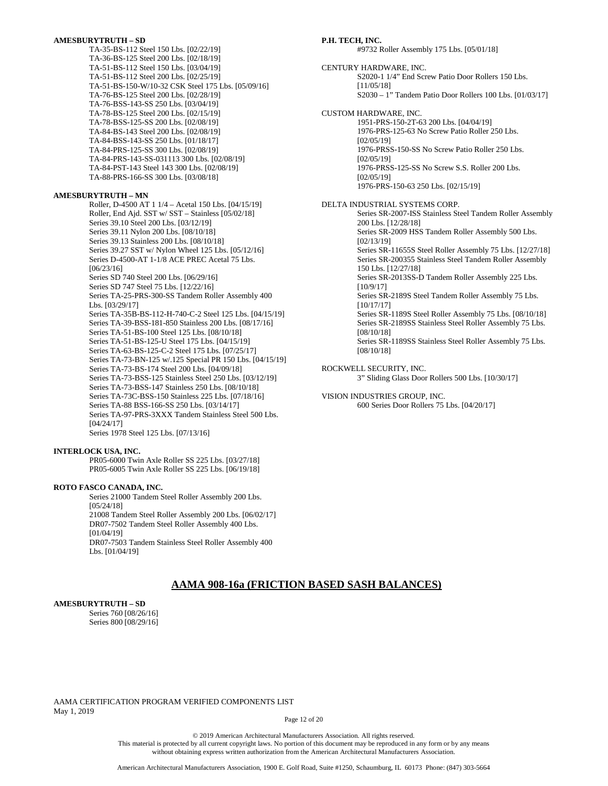### **AMESBURYTRUTH – SD**

TA-35-BS-112 Steel 150 Lbs. [02/22/19] TA-36-BS-125 Steel 200 Lbs. [02/18/19] TA-51-BS-112 Steel 150 Lbs. [03/04/19] TA-51-BS-112 Steel 200 Lbs. [02/25/19] TA-51-BS-150-W/10-32 CSK Steel 175 Lbs. [05/09/16] TA-76-BS-125 Steel 200 Lbs. [02/28/19] TA-76-BSS-143-SS 250 Lbs. [03/04/19] TA-78-BS-125 Steel 200 Lbs. [02/15/19] TA-78-BSS-125-SS 200 Lbs. [02/08/19] TA-84-BS-143 Steel 200 Lbs. [02/08/19] TA-84-BSS-143-SS 250 Lbs. [01/18/17] TA-84-PRS-125-SS 300 Lbs. [02/08/19] TA-84-PRS-143-SS-031113 300 Lbs. [02/08/19] TA-84-PST-143 Steel 143 300 Lbs. [02/08/19] TA-88-PRS-166-SS 300 Lbs. [03/08/18]

### **AMESBURYTRUTH – MN**

Roller, D-4500 AT 1 1/4 – Acetal 150 Lbs. [04/15/19] Roller, End Ajd. SST w/ SST – Stainless [05/02/18] Series 39.10 Steel 200 Lbs. [03/12/19] Series 39.11 Nylon 200 Lbs. [08/10/18] Series 39.13 Stainless 200 Lbs. [08/10/18] Series 39.27 SST w/ Nylon Wheel 125 Lbs. [05/12/16] Series D-4500-AT 1-1/8 ACE PREC Acetal 75 Lbs. [06/23/16] Series SD 740 Steel 200 Lbs. [06/29/16] Series SD 747 Steel 75 Lbs. [12/22/16] Series TA-25-PRS-300-SS Tandem Roller Assembly 400 Lbs. [03/29/17] Series TA-35B-BS-112-H-740-C-2 Steel 125 Lbs. [04/15/19] Series TA-39-BSS-181-850 Stainless 200 Lbs. [08/17/16] Series TA-51-BS-100 Steel 125 Lbs. [08/10/18] Series TA-51-BS-125-U Steel 175 Lbs. [04/15/19] Series TA-63-BS-125-C-2 Steel 175 Lbs. [07/25/17] Series TA-73-BN-125 w/.125 Special PR 150 Lbs. [04/15/19] Series TA-73-BS-174 Steel 200 Lbs. [04/09/18] Series TA-73-BSS-125 Stainless Steel 250 Lbs. [03/12/19] Series TA-73-BSS-147 Stainless 250 Lbs. [08/10/18] Series TA-73C-BSS-150 Stainless 225 Lbs. [07/18/16] Series TA-88 BSS-166-SS 250 Lbs. [03/14/17] Series TA-97-PRS-3XXX Tandem Stainless Steel 500 Lbs. [04/24/17] Series 1978 Steel 125 Lbs. [07/13/16]

### **INTERLOCK USA, INC.**

PR05-6000 Twin Axle Roller SS 225 Lbs. [03/27/18] PR05-6005 Twin Axle Roller SS 225 Lbs. [06/19/18]

### **ROTO FASCO CANADA, INC.**

Series 21000 Tandem Steel Roller Assembly 200 Lbs. [05/24/18] 21008 Tandem Steel Roller Assembly 200 Lbs. [06/02/17] DR07-7502 Tandem Steel Roller Assembly 400 Lbs. [01/04/19] DR07-7503 Tandem Stainless Steel Roller Assembly 400 Lbs. [01/04/19]

### **P.H. TECH, INC.**

#9732 Roller Assembly 175 Lbs. [05/01/18]

CENTURY HARDWARE, INC. S2020-1 1/4" End Screw Patio Door Rollers 150 Lbs. [11/05/18] S2030 – 1" Tandem Patio Door Rollers 100 Lbs. [01/03/17]

CUSTOM HARDWARE, INC.

1951-PRS-150-2T-63 200 Lbs. [04/04/19] 1976-PRS-125-63 No Screw Patio Roller 250 Lbs. [02/05/19] 1976-PRSS-150-SS No Screw Patio Roller 250 Lbs. [02/05/19] 1976-PRSS-125-SS No Screw S.S. Roller 200 Lbs. [02/05/19] 1976-PRS-150-63 250 Lbs. [02/15/19]

#### DELTA INDUSTRIAL SYSTEMS CORP.

Series SR-2007-ISS Stainless Steel Tandem Roller Assembly 200 Lbs. [12/28/18] Series SR-2009 HSS Tandem Roller Assembly 500 Lbs. [02/13/19] Series SR-11655S Steel Roller Assembly 75 Lbs. [12/27/18] Series SR-200355 Stainless Steel Tandem Roller Assembly 150 Lbs. [12/27/18] Series SR-2013SS-D Tandem Roller Assembly 225 Lbs. [10/9/17] Series SR-2189S Steel Tandem Roller Assembly 75 Lbs. [10/17/17] Series SR-1189S Steel Roller Assembly 75 Lbs. [08/10/18] Series SR-2189SS Stainless Steel Roller Assembly 75 Lbs. [08/10/18] Series SR-1189SS Stainless Steel Roller Assembly 75 Lbs. [08/10/18]

ROCKWELL SECURITY, INC.

3" Sliding Glass Door Rollers 500 Lbs. [10/30/17]

VISION INDUSTRIES GROUP, INC. 600 Series Door Rollers 75 Lbs. [04/20/17]

# **AAMA 908-16a (FRICTION BASED SASH BALANCES)**

#### **AMESBURYTRUTH – SD**

Series 760 [08/26/16] Series 800 [08/29/16]

AAMA CERTIFICATION PROGRAM VERIFIED COMPONENTS LIST May 1, 2019

Page 12 of 20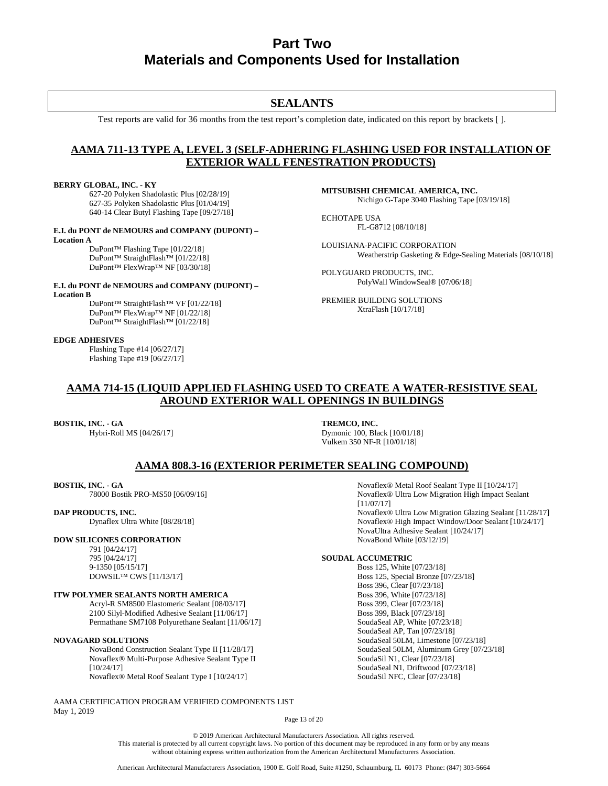# **Part Two Materials and Components Used for Installation**

# **SEALANTS**

Test reports are valid for 36 months from the test report's completion date, indicated on this report by brackets [ ].

# **AAMA 711-13 TYPE A, LEVEL 3 (SELF-ADHERING FLASHING USED FOR INSTALLATION OF EXTERIOR WALL FENESTRATION PRODUCTS)**

### **BERRY GLOBAL, INC. - KY**

627-20 Polyken Shadolastic Plus [02/28/19] 627-35 Polyken Shadolastic Plus [01/04/19] 640-14 Clear Butyl Flashing Tape [09/27/18]

### **E.I. du PONT de NEMOURS and COMPANY (DUPONT) –**

**Location A** DuPont™ Flashing Tape [01/22/18] DuPont™ StraightFlash™ [01/22/18] DuPont™ FlexWrap™ NF [03/30/18]

#### **E.I. du PONT de NEMOURS and COMPANY (DUPONT) – Location B**

DuPont™ StraightFlash™ VF [01/22/18] DuPont™ FlexWrap™ NF [01/22/18] DuPont™ StraightFlash™ [01/22/18]

#### **EDGE ADHESIVES**

Flashing Tape #14 [06/27/17] Flashing Tape #19 [06/27/17] **MITSUBISHI CHEMICAL AMERICA, INC.** Nichigo G-Tape 3040 Flashing Tape [03/19/18]

ECHOTAPE USA FL-G8712 [08/10/18]

LOUISIANA-PACIFIC CORPORATION Weatherstrip Gasketing & Edge-Sealing Materials [08/10/18]

POLYGUARD PRODUCTS, INC. PolyWall WindowSeal® [07/06/18]

PREMIER BUILDING SOLUTIONS XtraFlash [10/17/18]

# **AAMA 714-15 (LIQUID APPLIED FLASHING USED TO CREATE A WATER-RESISTIVE SEAL AROUND EXTERIOR WALL OPENINGS IN BUILDINGS**

### **BOSTIK, INC. - GA**

Hybri-Roll MS [04/26/17]

**TREMCO, INC.** Dymonic 100, Black [10/01/18] Vulkem 350 NF-R [10/01/18]

### **AAMA 808.3-16 (EXTERIOR PERIMETER SEALING COMPOUND)**

### **BOSTIK, INC. - GA**

78000 Bostik PRO-MS50 [06/09/16]

### **DAP PRODUCTS, INC.**

Dynaflex Ultra White [08/28/18]

### **DOW SILICONES CORPORATION**

791 [04/24/17] 795 [04/24/17] 9-1350 [05/15/17] DOWSIL™ CWS [11/13/17]

### **ITW POLYMER SEALANTS NORTH AMERICA**

Acryl-R SM8500 Elastomeric Sealant [08/03/17] 2100 Silyl-Modified Adhesive Sealant [11/06/17] Permathane SM7108 Polyurethane Sealant [11/06/17]

#### **NOVAGARD SOLUTIONS**

NovaBond Construction Sealant Type II [11/28/17] Novaflex® Multi-Purpose Adhesive Sealant Type II [10/24/17] Novaflex® Metal Roof Sealant Type I [10/24/17]

AAMA CERTIFICATION PROGRAM VERIFIED COMPONENTS LIST May 1, 2019

Novaflex® Metal Roof Sealant Type II [10/24/17] Novaflex® Ultra Low Migration High Impact Sealant [11/07/17] Novaflex® Ultra Low Migration Glazing Sealant [11/28/17] Novaflex® High Impact Window/Door Sealant [10/24/17] NovaUltra Adhesive Sealant [10/24/17] NovaBond White [03/12/19]

### **SOUDAL ACCUMETRIC**

Boss 125, White [07/23/18] Boss 125, Special Bronze [07/23/18] Boss 396, Clear [07/23/18] Boss 396, White [07/23/18] Boss 399, Clear [07/23/18] Boss 399, Black [07/23/18] SoudaSeal AP, White [07/23/18] SoudaSeal AP, Tan [07/23/18] SoudaSeal 50LM, Limestone [07/23/18] SoudaSeal 50LM, Aluminum Grey [07/23/18] SoudaSil N1, Clear [07/23/18] SoudaSeal N1, Driftwood [07/23/18] SoudaSil NFC, Clear [07/23/18]

Page 13 of 20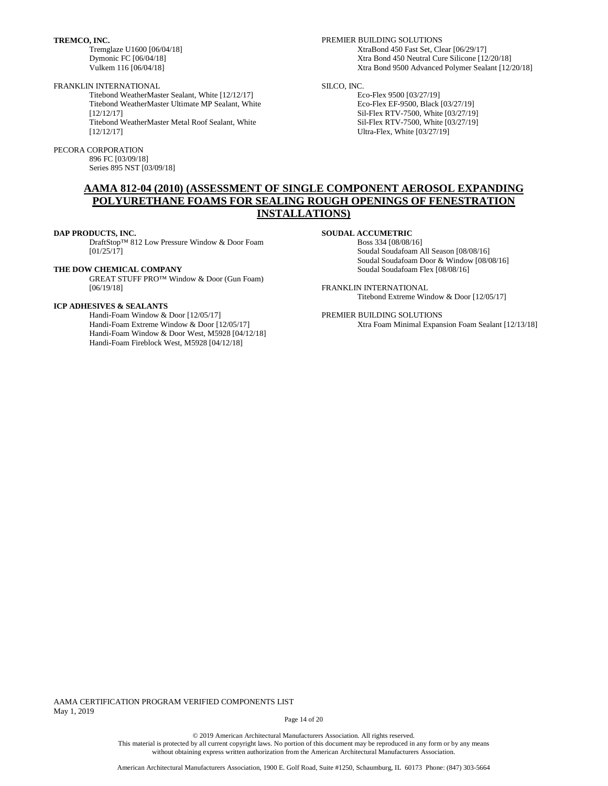**TREMCO, INC.**

Tremglaze U1600 [06/04/18] Dymonic FC [06/04/18] Vulkem 116 [06/04/18]

### FRANKLIN INTERNATIONAL

Titebond WeatherMaster Sealant, White [12/12/17] Titebond WeatherMaster Ultimate MP Sealant, White [12/12/17] Titebond WeatherMaster Metal Roof Sealant, White [12/12/17]

#### PECORA CORPORATION

896 FC [03/09/18] Series 895 NST [03/09/18] PREMIER BUILDING SOLUTIONS XtraBond 450 Fast Set, Clear [06/29/17] Xtra Bond 450 Neutral Cure Silicone [12/20/18] Xtra Bond 9500 Advanced Polymer Sealant [12/20/18]

### SILCO, INC.

Eco-Flex 9500 [03/27/19] Eco-Flex EF-9500, Black [03/27/19] Sil-Flex RTV-7500, White [03/27/19] Sil-Flex RTV-7500, White [03/27/19] Ultra-Flex, White [03/27/19]

# **AAMA 812-04 (2010) (ASSESSMENT OF SINGLE COMPONENT AEROSOL EXPANDING POLYURETHANE FOAMS FOR SEALING ROUGH OPENINGS OF FENESTRATION INSTALLATIONS)**

**DAP PRODUCTS, INC.** 

DraftStop™ 812 Low Pressure Window & Door Foam  $[01/25/17]$ 

### **THE DOW CHEMICAL COMPANY**

GREAT STUFF PRO™ Window & Door (Gun Foam) [06/19/18]

### **ICP ADHESIVES & SEALANTS**

Handi-Foam Window & Door [12/05/17] Handi-Foam Extreme Window & Door [12/05/17] Handi-Foam Window & Door West, M5928 [04/12/18] Handi-Foam Fireblock West, M5928 [04/12/18]

### **SOUDAL ACCUMETRIC**

Boss 334 [08/08/16] Soudal Soudafoam All Season [08/08/16] Soudal Soudafoam Door & Window [08/08/16] Soudal Soudafoam Flex [08/08/16]

FRANKLIN INTERNATIONAL Titebond Extreme Window & Door [12/05/17]

PREMIER BUILDING SOLUTIONS Xtra Foam Minimal Expansion Foam Sealant [12/13/18]

AAMA CERTIFICATION PROGRAM VERIFIED COMPONENTS LIST May 1, 2019

Page 14 of 20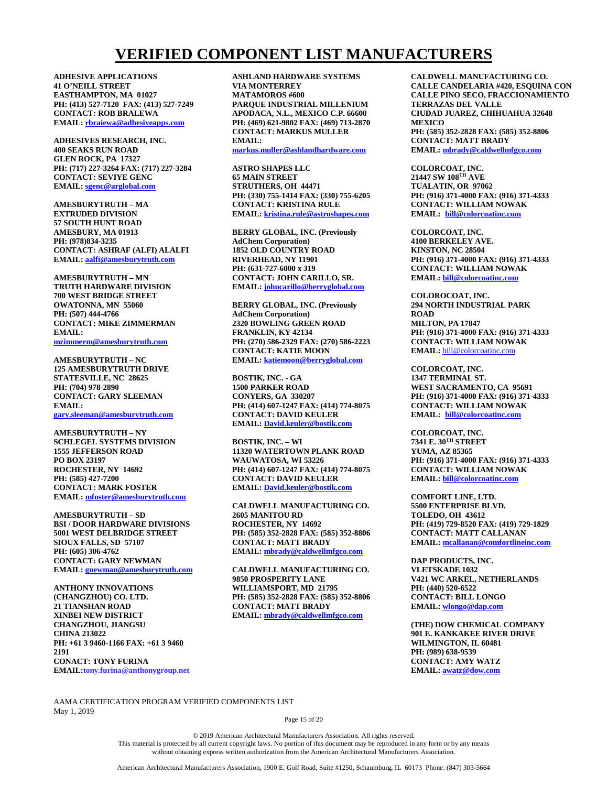# **VERIFIED COMPONENT LIST MANUFACTURERS**

**ADHESIVE APPLICATIONS 41 O'NEILL STREET EASTHAMPTON, MA 01027 PH: (413) 527-7120 FAX: (413) 527-7249 CONTACT: ROB BRALEWA EMAIL: [rbraiewa@adhesiveapps.com](mailto:rbraiewa@adhesiveapps.com)**

**ADHESIVES RESEARCH, INC. 400 SEAKS RUN ROAD GLEN ROCK, PA 17327 PH: (717) 227-3264 FAX: (717) 227-3284 CONTACT: SEVIYE GENC EMAIL: [sgenc@arglobal.com](mailto:sgenc@arglobal.com)**

**AMESBURYTRUTH – MA EXTRUDED DIVISION 57 SOUTH HUNT ROAD AMESBURY, MA 01913 PH: (978)834-3235 CONTACT: ASHRAF (ALFI) ALALFI EMAIL: [aalfi@amesburytruth.com](mailto:aalfi@amesburytruth.com)**

**AMESBURYTRUTH – MN TRUTH HARDWARE DIVISION 700 WEST BRIDGE STREET OWATONNA, MN 55060 PH: (507) 444-4766 CONTACT: MIKE ZIMMERMAN EMAIL: [mzimmerm@amesburytruth.com](mailto:mzimmerm@amesburytruth.com)**

**AMESBURYTRUTH – NC 125 AMESBURYTRUTH DRIVE STATESVILLE, NC 28625 PH: (704) 978-2890 CONTACT: GARY SLEEMAN EMAIL:** 

**[gary.sleeman@amesburytruth.com](mailto:gary.sleeman@amesburytruth.com)**

**AMESBURYTRUTH – NY SCHLEGEL SYSTEMS DIVISION 1555 JEFFERSON ROAD PO BOX 23197 ROCHESTER, NY 14692 PH: (585) 427-7200 CONTACT: MARK FOSTER EMAIL: [mfoster@amesburytruth.com](mailto:mfoster@amesburytruth.com)**

**AMESBURYTRUTH – SD BSI / DOOR HARDWARE DIVISIONS 5001 WEST DELBRIDGE STREET SIOUX FALLS, SD 57107 PH: (605) 306-4762 CONTACT: GARY NEWMAN EMAIL: [gnewman@amesburytruth.com](mailto:gnewman@amesburytruth.com)**

**ANTHONY INNOVATIONS (CHANGZHOU) CO. LTD. 21 TIANSHAN ROAD XINBEI NEW DISTRICT CHANGZHOU, JIANGSU CHINA 213022 PH: +61 3 9460-1166 FAX: +61 3 9460 2191 CONACT: TONY FURINA EMAIL:tony.furina@anthonygroup.net** **ASHLAND HARDWARE SYSTEMS VIA MONTERREY MATAMOROS #600 PARQUE INDUSTRIAL MILLENIUM APODACA, N.L., MEXICO C.P. 66600 PH: (469) 621-9802 FAX: (469) 713-2870 CONTACT: MARKUS MULLER EMAIL: markus.muller@ashlandhardware.com**

**ASTRO SHAPES LLC 65 MAIN STREET STRUTHERS, OH 44471 PH: (330) 755-1414 FAX: (330) 755-6205 CONTACT: KRISTINA RULE EMAIL: [kristina.rule@astroshapes.com](mailto:kristina.rule@astroshapes.com)**

**BERRY GLOBAL, INC. (Previously AdChem Corporation) 1852 OLD COUNTRY ROAD RIVERHEAD, NY 11901 PH: (631-727-6000 x 319 CONTACT: JOHN CARILLO, SR. EMAIL: [johncarillo@berryglobal.com](mailto:johncarillo@berryglobal.com)**

**BERRY GLOBAL, INC. (Previously AdChem Corporation) 2320 BOWLING GREEN ROAD FRANKLIN, KY 42134 PH: (270) 586-2329 FAX: (270) 586-2223 CONTACT: KATIE MOON EMAIL: [katiemoon@berryglobal.com](mailto:katiemoon@berryglobal.com)**

**BOSTIK, INC. - GA 1500 PARKER ROAD CONYERS, GA 330207 PH: (414) 607-1247 FAX: (414) 774-8075 CONTACT: DAVID KEULER EMAIL: David.keuler@bostik.com**

**BOSTIK, INC. – WI 11320 WATERTOWN PLANK ROAD WAUWATOSA, WI 53226 PH: (414) 607-1247 FAX: (414) 774-8075 CONTACT: DAVID KEULER EMAIL: David.keuler@bostik.com**

**CALDWELL MANUFACTURING CO. 2605 MANITOU RD ROCHESTER, NY 14692 PH: (585) 352-2828 FAX: (585) 352-8806 CONTACT: MATT BRADY EMAIL: [mbrady@caldwellmfgco.com](mailto:mbrady@caldwellmfgco.com)**

**CALDWELL MANUFACTURING CO. 9850 PROSPERITY LANE WILLIAMSPORT, MD 21795 PH: (585) 352-2828 FAX: (585) 352-8806 CONTACT: MATT BRADY EMAIL: [mbrady@caldwellmfgco.com](mailto:mbrady@caldwellmfgco.com)**

**CALDWELL MANUFACTURING CO. CALLE CANDELARIA #420, ESQUINA CON CALLE PINO SECO, FRACCIONAMIENTO TERRAZAS DEL VALLE CIUDAD JUAREZ, CHIHUAHUA 32648 MEXICO PH: (585) 352-2828 FAX: (585) 352-8806 CONTACT: MATT BRADY EMAIL: [mbrady@caldwellmfgco.com](mailto:mbrady@caldwellmfgco.com)**

**COLORCOAT, INC. 21447 SW 108TH AVE TUALATIN, OR 97062 PH: (916) 371-4000 FAX: (916) 371-4333 CONTACT: WILLIAM NOWAK EMAIL: [bill@colorcoatinc.com](mailto:bill@colorcoatinc.com)**

**COLORCOAT, INC. 4100 BERKELEY AVE. KINSTON, NC 28504 PH: (916) 371-4000 FAX: (916) 371-4333 CONTACT: WILLIAM NOWAK EMAIL: [bill@colorcoatinc.com](mailto:bill@colorcoatinc.com)**

**COLOROCOAT, INC. 294 NORTH INDUSTRIAL PARK ROAD MILTON, PA 17847 PH: (916) 371-4000 FAX: (916) 371-4333 CONTACT: WILLIAM NOWAK EMAIL:** [bill@colorcoatinc.com](mailto:bill@colorcoatinc.com)

**COLORCOAT, INC. 1347 TERMINAL ST. WEST SACRAMENTO, CA 95691 PH: (916) 371-4000 FAX: (916) 371-4333 CONTACT: WILLIAM NOWAK EMAIL: [bill@colorcoatinc.com](mailto:bill@colorcoatinc.com)**

**COLORCOAT, INC. 7341 E. 30TH STREET YUMA, AZ 85365 PH: (916) 371-4000 FAX: (916) 371-4333 CONTACT: WILLIAM NOWAK EMAIL: [bill@colorcoatinc.com](mailto:bill@colorcoatinc.com)**

**COMFORT LINE, LTD. 5500 ENTERPRISE BLVD. TOLEDO, OH 43612 PH: (419) 729-8520 FAX: (419) 729-1829 CONTACT: MATT CALLANAN EMAIL: [mcallanan@comfortlineinc.com](mailto:mcallanan@comfortlineinc.com)**

**DAP PRODUCTS, INC. VLETSKADE 1032 V421 WC ARKEL, NETHERLANDS PH: (440) 520-6522 CONTACT: BILL LONGO EMAIL: [wlongo@dap.com](mailto:wlongo@dap.com)**

**(THE) DOW CHEMICAL COMPANY 901 E. KANKAKEE RIVER DRIVE WILMINGTON, IL 60481 PH: (989) 638-9539 CONTACT: AMY WATZ EMAIL: [awatz@dow.com](mailto:awatz@dow.com)**

AAMA CERTIFICATION PROGRAM VERIFIED COMPONENTS LIST May 1, 2019

Page 15 of 20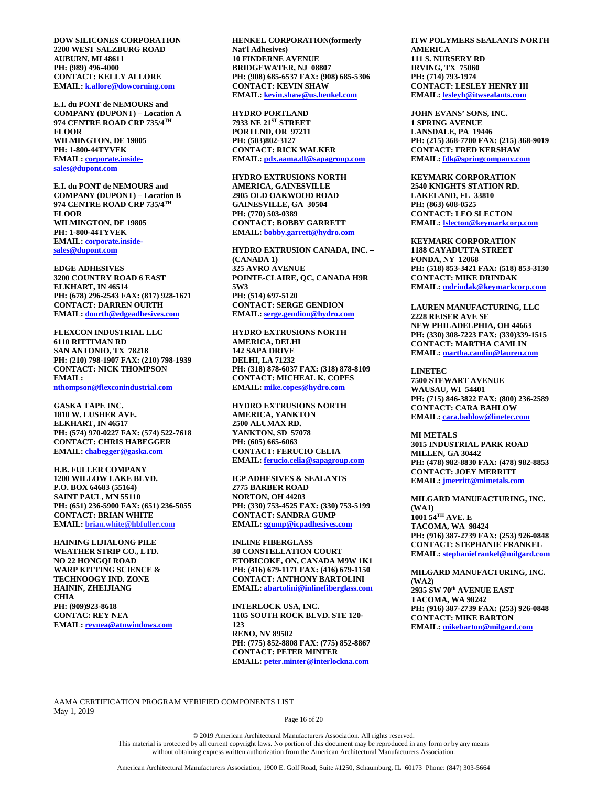**DOW SILICONES CORPORATION 2200 WEST SALZBURG ROAD AUBURN, MI 48611 PH: (989) 496-4000 CONTACT: KELLY ALLORE EMAIL: [k.allore@dowcorning.com](mailto:k.allore@dowcorning.com)**

**E.I. du PONT de NEMOURS and COMPANY (DUPONT) – Location A 974 CENTRE ROAD CRP 735/4TH FLOOR WILMINGTON, DE 19805 PH: 1-800-44TYVEK EMAIL: [corporate.inside](mailto:corporate.inside-sales@dupont.com)[sales@dupont.com](mailto:corporate.inside-sales@dupont.com)**

**E.I. du PONT de NEMOURS and COMPANY (DUPONT) – Location B 974 CENTRE ROAD CRP 735/4TH FLOOR WILMINGTON, DE 19805 PH: 1-800-44TYVEK EMAIL: [corporate.inside](mailto:corporate.inside-sales@dupont.com)[sales@dupont.com](mailto:corporate.inside-sales@dupont.com)**

**EDGE ADHESIVES 3200 COUNTRY ROAD 6 EAST ELKHART, IN 46514 PH: (678) 296-2543 FAX: (817) 928-1671 CONTACT: DARREN OURTH EMAIL: [dourth@edgeadhesives.com](mailto:dourth@edgeadhesives.com)**

**FLEXCON INDUSTRIAL LLC 6110 RITTIMAN RD SAN ANTONIO, TX 78218 PH: (210) 798-1907 FAX: (210) 798-1939 CONTACT: NICK THOMPSON EMAIL: [nthompson@flexconindustrial.com](mailto:nthompson@flexconindustrial.com)**

**GASKA TAPE INC. 1810 W. LUSHER AVE. ELKHART, IN 46517 PH: (574) 970-0227 FAX: (574) 522-7618 CONTACT: CHRIS HABEGGER EMAIL: [chabegger@gaska.com](mailto:chabegger@gaska.com)**

**H.B. FULLER COMPANY 1200 WILLOW LAKE BLVD. P.O. BOX 64683 (55164) SAINT PAUL, MN 55110 PH: (651) 236-5900 FAX: (651) 236-5055 CONTACT: BRIAN WHITE EMAIL: brian.white@hbfuller.com**

**HAINING LIJIALONG PILE WEATHER STRIP CO., LTD. NO 22 HONGQI ROAD WARP KITTING SCIENCE & TECHNOOGY IND. ZONE HAININ, ZHEIJIANG CHIA PH: (909)923-8618 CONTAC: REY NEA EMAIL: [reynea@atnwindows.com](mailto:reynea@atnwindows.com)** **HENKEL CORPORATION(formerly Nat'l Adhesives) 10 FINDERNE AVENUE BRIDGEWATER, NJ 08807 PH: (908) 685-6537 FAX: (908) 685-5306 CONTACT: KEVIN SHAW EMAIL: [kevin.shaw@us.henkel.com](mailto:kevin.shaw@us.henkel.com)**

**HYDRO PORTLAND 7933 NE 21ST STREET PORTLND, OR 97211 PH: (503)802-3127 CONTACT: RICK WALKER EMAIL: [pdx.aama.dl@sapagroup.com](mailto:pdx.aama.dl@sapagroup.com)**

**HYDRO EXTRUSIONS NORTH AMERICA, GAINESVILLE 2905 OLD OAKWOOD ROAD GAINESVILLE, GA 30504 PH: (770) 503-0389 CONTACT: BOBBY GARRETT EMAIL: [bobby.garrett@hydro.com](mailto:bobby.garrett@hydro.com)**

**HYDRO EXTRUSION CANADA, INC. – (CANADA 1) 325 AVRO AVENUE POINTE-CLAIRE, QC, CANADA H9R 5W3 PH: (514) 697-5120 CONTACT: SERGE GENDION EMAIL: [serge.gendion@hydro.com](mailto:serge.gendion@hydro.com)**

**HYDRO EXTRUSIONS NORTH AMERICA, DELHI 142 SAPA DRIVE DELHI, LA 71232 PH: (318) 878-6037 FAX: (318) 878-8109 CONTACT: MICHEAL K. COPES EMAIL: [mike.copes@hydro.com](mailto:mike.copes@hydro.com)**

**HYDRO EXTRUSIONS NORTH AMERICA, YANKTON 2500 ALUMAX RD. YANKTON, SD 57078 PH: (605) 665-6063 CONTACT: FERUCIO CELIA EMAIL: [ferucio.celia@sapagroup.com](mailto:ferucio.celia@sapagroup.com)**

**ICP ADHESIVES & SEALANTS 2775 BARBER ROAD NORTON, OH 44203 PH: (330) 753-4525 FAX: (330) 753-5199 CONTACT: SANDRA GUMP EMAIL: [sgump@icpadhesives.com](mailto:sgump@icpadhesives.com)**

**INLINE FIBERGLASS 30 CONSTELLATION COURT ETOBICOKE, ON, CANADA M9W 1K1 PH: (416) 679-1171 FAX: (416) 679-1150 CONTACT: ANTHONY BARTOLINI EMAIL: [abartolini@inlinefiberglass.com](mailto:abartolini@inlinefiberglass.com)**

**INTERLOCK USA, INC. 1105 SOUTH ROCK BLVD. STE 120- 123 RENO, NV 89502 PH: (775) 852-8808 FAX: (775) 852-8867 CONTACT: PETER MINTER EMAIL: [peter.minter@interlockna.com](mailto:peter.minter@interlockna.com)**

**ITW POLYMERS SEALANTS NORTH AMERICA 111 S. NURSERY RD IRVING, TX 75060 PH: (714) 793-1974 CONTACT: LESLEY HENRY III EMAIL: lesleyh@itwsealants.com**

**JOHN EVANS' SONS, INC. 1 SPRING AVENUE LANSDALE, PA 19446 PH: (215) 368-7700 FAX: (215) 368-9019 CONTACT: FRED KERSHAW EMAIL: [fdk@springcompany.com](mailto:fdk@springcompany.com)**

**KEYMARK CORPORATION 2540 KNIGHTS STATION RD. LAKELAND, FL 33810 PH: (863) 608-0525 CONTACT: LEO SLECTON EMAIL: [lslecton@keymarkcorp.com](mailto:lslecton@keymarkcorp.com)**

**KEYMARK CORPORATION 1188 CAYADUTTA STREET FONDA, NY 12068 PH: (518) 853-3421 FAX: (518) 853-3130 CONTACT: MIKE DRINDAK EMAIL: [mdrindak@keymarkcorp.com](mailto:mdrindak@keymarkcorp.com)**

**LAUREN MANUFACTURING, LLC 2228 REISER AVE SE NEW PHILADELPHIA, OH 44663 PH: (330) 308-7223 FAX: (330)339-1515 CONTACT: MARTHA CAMLIN EMAIL: [martha.camlin@lauren.com](mailto:martha.camlin@lauren.com)**

**LINETEC 7500 STEWART AVENUE WAUSAU, WI 54401 PH: (715) 846-3822 FAX: (800) 236-2589 CONTACT: CARA BAHLOW EMAIL: [cara.bahlow@linetec.com](mailto:cara.bahlow@linetec.com)**

**MI METALS 3015 INDUSTRIAL PARK ROAD MILLEN, GA 30442 PH: (478) 982-8830 FAX: (478) 982-8853 CONTACT: JOEY MERRITT EMAIL: [jmerritt@mimetals.com](mailto:jmerritt@mimetals.com)**

**MILGARD MANUFACTURING, INC. (WA1) 1001 54TH AVE. E TACOMA, WA 98424 PH: (916) 387-2739 FAX: (253) 926-0848 CONTACT: STEPHANIE FRANKEL EMAIL: [stephaniefrankel@milgard.com](mailto:stephaniefrankel@milgard.com)**

**MILGARD MANUFACTURING, INC. (WA2) 2935 SW 70th AVENUE EAST TACOMA, WA 98242 PH: (916) 387-2739 FAX: (253) 926-0848 CONTACT: MIKE BARTON EMAIL: [mikebarton@milgard.com](mailto:mikebarton@milgard.com)**

AAMA CERTIFICATION PROGRAM VERIFIED COMPONENTS LIST May 1, 2019

Page 16 of 20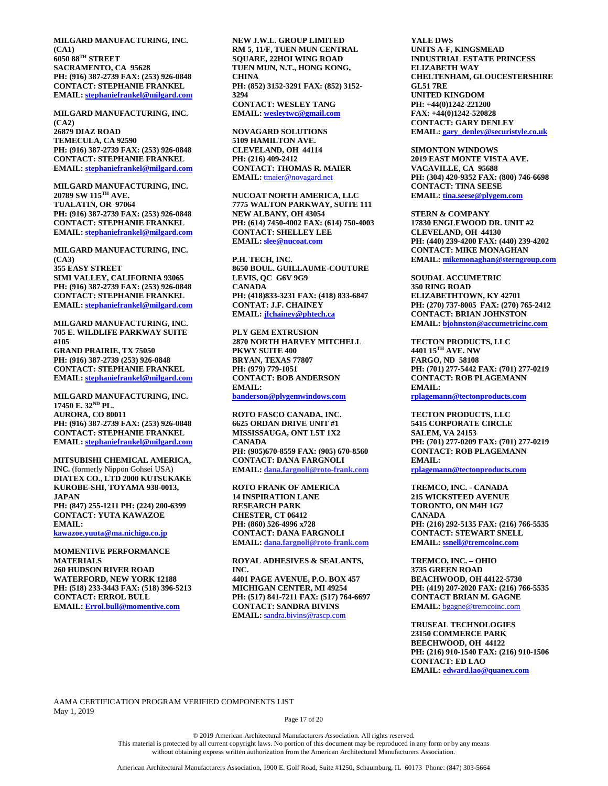**MILGARD MANUFACTURING, INC. (CA1) 6050 88TH STREET SACRAMENTO, CA 95628 PH: (916) 387-2739 FAX: (253) 926-0848 CONTACT: STEPHANIE FRANKEL EMAIL: [stephaniefrankel@milgard.com](mailto:stephaniefrankel@milgard.com)**

**MILGARD MANUFACTURING, INC. (CA2) 26879 DIAZ ROAD TEMECULA, CA 92590 PH: (916) 387-2739 FAX: (253) 926-0848 CONTACT: STEPHANIE FRANKEL EMAIL: [stephaniefrankel@milgard.com](mailto:stephaniefrankel@milgard.com)**

**MILGARD MANUFACTURING, INC. 20789 SW 115TH AVE. TUALATIN, OR 97064 PH: (916) 387-2739 FAX: (253) 926-0848 CONTACT: STEPHANIE FRANKEL EMAIL: [stephaniefrankel@milgard.com](mailto:stephaniefrankel@milgard.com)**

**MILGARD MANUFACTURING, INC. (CA3) 355 EASY STREET SIMI VALLEY, CALIFORNIA 93065 PH: (916) 387-2739 FAX: (253) 926-0848 CONTACT: STEPHANIE FRANKEL EMAIL: [stephaniefrankel@milgard.com](mailto:stephaniefrankel@milgard.com)**

**MILGARD MANUFACTURING, INC. 705 E. WILDLIFE PARKWAY SUITE #105 GRAND PRAIRIE, TX 75050 PH: (916) 387-2739 (253) 926-0848 CONTACT: STEPHANIE FRANKEL EMAIL: [stephaniefrankel@milgard.com](mailto:stephaniefrankel@milgard.com)**

**MILGARD MANUFACTURING, INC. 17450 E. 32ND PL. AURORA, CO 80011 PH: (916) 387-2739 FAX: (253) 926-0848 CONTACT: STEPHANIE FRANKEL EMAIL: [stephaniefrankel@milgard.com](mailto:stephaniefrankel@milgard.com)**

**MITSUBISHI CHEMICAL AMERICA, INC.** (formerly Nippon Gohsei USA) **DIATEX CO., LTD 2000 KUTSUKAKE KUROBE-SHI, TOYAMA 938-0013, JAPAN PH: (847) 255-1211 PH: (224) 200-6399 CONTACT: YUTA KAWAZOE EMAIL:** 

**[kawazoe.yuuta@ma.nichigo.co.jp](mailto:kawazoe.yuuta@ma.nichigo.co.jp)**

**MOMENTIVE PERFORMANCE MATERIALS 260 HUDSON RIVER ROAD WATERFORD, NEW YORK 12188 PH: (518) 233-3443 FAX: (518) 396-5213 CONTACT: ERROL BULL EMAIL: [Errol.bull@momentive.com](mailto:Errol.bull@momentive.com)**

**NEW J.W.L. GROUP LIMITED RM 5, 11/F, TUEN MUN CENTRAL SQUARE, 22HOI WING ROAD TUEN MUN, N.T., HONG KONG, CHINA PH: (852) 3152-3291 FAX: (852) 3152- 3294 CONTACT: WESLEY TANG EMAIL: [wesleytwc@gmail.com](mailto:wesleytwc@gmail.com)**

**NOVAGARD SOLUTIONS 5109 HAMILTON AVE. CLEVELAND, OH 44114 PH: (216) 409-2412 CONTACT: THOMAS R. MAIER EMAIL:** [tmaier@novagard.net](mailto:tmaier@novagard.net)

**NUCOAT NORTH AMERICA, LLC 7775 WALTON PARKWAY, SUITE 111 NEW ALBANY, OH 43054 PH: (614) 7450-4002 FAX: (614) 750-4003 CONTACT: SHELLEY LEE EMAIL: [slee@nucoat.com](mailto:slee@nucoat.com)**

**P.H. TECH, INC. 8650 BOUL. GUILLAUME-COUTURE LEVIS, QC G6V 9G9 CANADA PH: (418)833-3231 FAX: (418) 833-6847 CONTAT: J.F. CHAINEY EMAIL: [jfchainey@phtech.ca](mailto:jfchainey@phtech.ca)**

**PLY GEM EXTRUSION 2870 NORTH HARVEY MITCHELL PKWY SUITE 400 BRYAN, TEXAS 77807 PH: (979) 779-1051 CONTACT: BOB ANDERSON EMAIL: [banderson@plygemwindows.com](mailto:banderson@plygemwindows.com)**

**ROTO FASCO CANADA, INC. 6625 ORDAN DRIVE UNIT #1 MISSISSAUGA, ONT L5T 1X2 CANADA PH: (905)670-8559 FAX: (905) 670-8560 CONTACT: DANA FARGNOLI EMAIL: dana.fargnoli@roto-frank.com**

**ROTO FRANK OF AMERICA 14 INSPIRATION LANE RESEARCH PARK CHESTER, CT 06412 PH: (860) 526-4996 x728 CONTACT: DANA FARGNOLI EMAIL: dana.fargnoli@roto-frank.com**

**ROYAL ADHESIVES & SEALANTS, INC. 4401 PAGE AVENUE, P.O. BOX 457 MICHIGAN CENTER, MI 49254 PH: (517) 841-7211 FAX: (517) 764-6697 CONTACT: SANDRA BIVINS EMAIL:** [sandra.bivins@rascp.com](mailto:sandra.bivins@rascp.com)

**YALE DWS UNITS A-F, KINGSMEAD INDUSTRIAL ESTATE PRINCESS ELIZABETH WAY CHELTENHAM, GLOUCESTERSHIRE GL51 7RE UNITED KINGDOM PH: +44(0)1242-221200 FAX: +44(0)1242-520828 CONTACT: GARY DENLEY EMAIL: [gary\\_denley@securistyle.co.uk](mailto:gary_denley@securistyle.co.uk)**

**SIMONTON WINDOWS 2019 EAST MONTE VISTA AVE. VACAVILLE, CA 95688 PH: (304) 420-9352 FAX: (800) 746-6698 CONTACT: TINA SEESE EMAIL: [tina.seese@plygem.com](mailto:tina.seese@plygem.com)**

**STERN & COMPANY 17830 ENGLEWOOD DR. UNIT #2 CLEVELAND, OH 44130 PH: (440) 239-4200 FAX: (440) 239-4202 CONTACT: MIKE MONAGHAN EMAIL: [mikemonaghan@sterngroup.com](mailto:mikemonaghan@sterngroup.com)**

**SOUDAL ACCUMETRIC 350 RING ROAD ELIZABETHTOWN, KY 42701 PH: (270) 737-8005 FAX: (270) 765-2412 CONTACT: BRIAN JOHNSTON EMAIL: [bjohnston@accumetricinc.com](mailto:bjohnston@accumetricinc.com)**

**TECTON PRODUCTS, LLC 4401 15TH AVE. NW FARGO, ND 58108 PH: (701) 277-5442 FAX: (701) 277-0219 CONTACT: ROB PLAGEMANN EMAIL:** 

**[rplagemann@tectonproducts.com](mailto:rplagemann@tectonproducts.com)**

**TECTON PRODUCTS, LLC 5415 CORPORATE CIRCLE SALEM, VA 24153 PH: (701) 277-0209 FAX: (701) 277-0219 CONTACT: ROB PLAGEMANN EMAIL: [rplagemann@tectonproducts.com](mailto:rplagemann@tectonproducts.com)**

**TREMCO, INC. - CANADA 215 WICKSTEED AVENUE TORONTO, ON M4H 1G7 CANADA PH: (216) 292-5135 FAX: (216) 766-5535 CONTACT: STEWART SNELL EMAIL: [ssnell@tremcoinc.com](mailto:ssnell@tremcoinc.com)**

**TREMCO, INC. – OHIO 3735 GREEN ROAD BEACHWOOD, OH 44122-5730 PH: (419) 207-2020 FAX: (216) 766-5535 CONTACT BRIAN M. GAGNE EMAIL:** [bgagne@tremcoinc.com](mailto:bgagne@tremcoinc.com)

**TRUSEAL TECHNOLOGIES 23150 COMMERCE PARK BEECHWOOD, OH 44122 PH: (216) 910-1540 FAX: (216) 910-1506 CONTACT: ED LAO EMAIL: [edward.lao@quanex.com](mailto:edward.lao@quanex.com)**

AAMA CERTIFICATION PROGRAM VERIFIED COMPONENTS LIST May 1, 2019

Page 17 of 20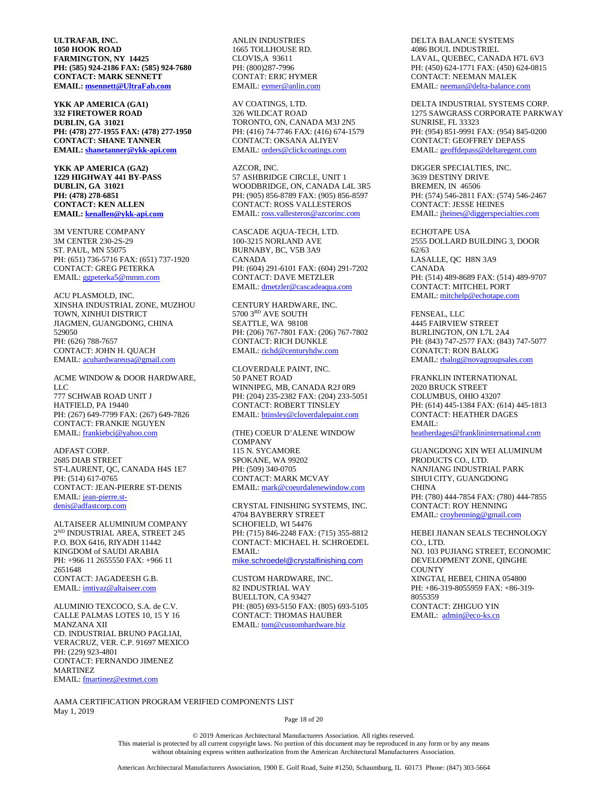**ULTRAFAB, INC. 1050 HOOK ROAD FARMINGTON, NY 14425 PH: (585) 924-2186 FAX: (585) 924-7680 CONTACT: MARK SENNETT EMAIL: [msennett@UltraFab.com](mailto:msennett@UltraFab.com)**

**YKK AP AMERICA (GA1) 332 FIRETOWER ROAD DUBLIN, GA 31021 PH: (478) 277-1955 FAX: (478) 277-1950 CONTACT: SHANE TANNER EMAIL: [shanetanner@ykk-api.com](mailto:shanetanner@ykk-api.com)**

**YKK AP AMERICA (GA2) 1229 HIGHWAY 441 BY-PASS DUBLIN, GA 31021 PH: (478) 278-6851 CONTACT: KEN ALLEN EMAIL: [kenallen@ykk-api.com](mailto:kenallen@ykk-api.com)**

3M VENTURE COMPANY 3M CENTER 230-2S-29 ST. PAUL, MN 55075 PH: (651) 736-5716 FAX: (651) 737-1920 CONTACT: GREG PETERKA EMAIL[: ggpeterka5@mmm.com](mailto:ggpeterka5@mmm.com)

ACU PLASMOLD, INC. XINSHA INDUSTRIAL ZONE, MUZHOU TOWN, XINHUI DISTRICT JIAGMEN, GUANGDONG, CHINA 529050 PH: (626) 788-7657 CONTACT: JOHN H. QUACH EMAIL[: acuhardwareusa@gmail.com](mailto:acuhardwareusa@gmail.com)

ACME WINDOW & DOOR HARDWARE, LLC 777 SCHWAB ROAD UNIT J HATFIELD, PA 19440 PH: (267) 649-7799 FAX: (267) 649-7826 CONTACT: FRANKIE NGUYEN EMAIL[: frankiebci@yahoo.com](mailto:frankiebci@yahoo.com)

ADFAST CORP. 2685 DIAB STREET ST-LAURENT, QC, CANADA H4S 1E7 PH: (514) 617-0765 CONTACT: JEAN-PIERRE ST-DENIS EMAIL[: jean-pierre.st](mailto:jean-pierre.st-denis@adfastcorp.com)[denis@adfastcorp.com](mailto:jean-pierre.st-denis@adfastcorp.com)

ALTAISEER ALUMINIUM COMPANY 2ND INDUSTRIAL AREA, STREET 245 P.O. BOX 6416, RIYADH 11442 KINGDOM of SAUDI ARABIA PH: +966 11 2655550 FAX: +966 11 2651648 CONTACT: JAGADEESH G.B. EMAIL[: imtiyaz@altaiseer.com](mailto:imtiyaz@altaiseer.com)

ALUMINIO TEXCOCO, S.A. de C.V. CALLE PALMAS LOTES 10, 15 Y 16 MANZANA XII CD. INDUSTRIAL BRUNO PAGLIAI, VERACRUZ, VER. C.P. 91697 MEXICO PH: (229) 923-4801 CONTACT: FERNANDO JIMENEZ MARTINEZ EMAIL[: fmartinez@extmet.com](mailto:fmartinez@extmet.com)

ANLIN INDUSTRIES 1665 TOLLHOUSE RD. CLOVIS,A 93611 PH: (800)287-7996 CONTAT: ERIC HYMER EMAIL[: eymer@anlin.com](mailto:eymer@anlin.com)

AV COATINGS, LTD. 326 WILDCAT ROAD TORONTO, ON, CANADA M3J 2N5 PH: (416) 74-7746 FAX: (416) 674-1579 CONTACT: OKSANA ALIYEV EMAIL[: orders@clickcoatings.com](mailto:orders@clickcoatings.com)

AZCOR, INC. 57 ASHBRIDGE CIRCLE, UNIT 1 WOODBRIDGE, ON, CANADA L4L 3R5 PH: (905) 856-8789 FAX: (905) 856-8597 CONTACT: ROSS VALLESTEROS EMAIL[: ross.vallesteros@azcorinc.com](mailto:ross.vallesteros@azcorinc.com)

CASCADE AQUA-TECH, LTD. 100-3215 NORLAND AVE BURNABY, BC, V5B 3A9 CANADA PH: (604) 291-6101 FAX: (604) 291-7202 CONTACT: DAVE METZLER EMAIL[: dmetzler@cascadeaqua.com](mailto:dmetzler@cascadeaqua.com)

CENTURY HARDWARE, INC. 5700 3RD AVE SOUTH SEATTLE, WA 98108 PH: (206) 767-7801 FAX: (206) 767-7802 CONTACT: RICH DUNKLE EMAIL[: richd@centuryhdw.com](mailto:richd@centuryhdw.com)

CLOVERDALE PAINT, INC. 50 PANET ROAD WINNIPEG, MB, CANADA R2J 0R9 PH: (204) 235-2382 FAX: (204) 233-5051 CONTACT: ROBERT TINSLEY EMAIL[: btinsley@cloverdalepaint.com](mailto:btinsley@cloverdalepaint.com)

(THE) COEUR D'ALENE WINDOW **COMPANY** 115 N. SYCAMORE SPOKANE, WA 99202 PH: (509) 340-0705 CONTACT: MARK MCVAY EMAIL[: mark@coeurdalenewindow.com](mailto:mark@coeurdalenewindow.com)

CRYSTAL FINISHING SYSTEMS, INC. 4704 BAYBERRY STREET SCHOFIELD, WI 54476 PH: (715) 846-2248 FAX: (715) 355-8812 CONTACT: MICHAEL H. SCHROEDEL EMAIL: [mike.schroedel@crystalfinishing.com](mailto:mike.schroedel@crystalfinishing.com)

CUSTOM HARDWARE, INC. 82 INDUSTRIAL WAY BUELLTON, CA 93427 PH: (805) 693-5150 FAX: (805) 693-5105 CONTACT: THOMAS HAUBER EMAIL[: tom@customhardware.biz](mailto:tom@customhardware.biz)

DELTA BALANCE SYSTEMS 4086 BOUL INDUSTRIEL LAVAL, QUEBEC, CANADA H7L 6V3 PH: (450) 624-1771 FAX: (450) 624-0815 CONTACT: NEEMAN MALEK EMAIL[: neeman@delta-balance.com](mailto:neeman@delta-balance.com)

DELTA INDUSTRIAL SYSTEMS CORP. 1275 SAWGRASS CORPORATE PARKWAY SUNRISE, FL 33323 PH: (954) 851-9991 FAX: (954) 845-0200 CONTACT: GEOFFREY DEPASS EMAIL[: geoffdepass@deltaregent.com](mailto:geoffdepass@deltaregent.com)

DIGGER SPECIALTIES, INC. 3639 DESTINY DRIVE BREMEN, IN 46506 PH: (574) 546-2811 FAX: (574) 546-2467 CONTACT: JESSE HEINES EMAIL[: jheines@diggerspecialties.com](mailto:jheines@diggerspecialties.com)

ECHOTAPE USA 2555 DOLLARD BUILDING 3, DOOR 62/63 LASALLE, QC H8N 3A9 CANADA PH: (514) 489-8689 FAX: (514) 489-9707 CONTACT: MITCHEL PORT EMAIL[: mitchelp@echotape.com](mailto:mitchelp@echotape.com)

FENSEAL, LLC 4445 FAIRVIEW STREET BURLINGTON, ON L7L 2A4 PH: (843) 747-2577 FAX: (843) 747-5077 CONATCT: RON BALOG EMAIL[: rbalog@novagroupsales.com](mailto:rbalog@novagroupsales.com)

FRANKLIN INTERNATIONAL 2020 BRUCK STREET COLUMBUS, OHIO 43207 PH: (614) 445-1384 FAX: (614) 445-1813 CONTACT: HEATHER DAGES EMAIL: [heatherdages@franklininternational.com](mailto:heatherdages@franklininternational.com)

GUANGDONG XIN WEI ALUMINUM PRODUCTS CO., LTD. NANJIANG INDUSTRIAL PARK SIHUI CITY, GUANGDONG CHINA PH: (780) 444-7854 FAX: (780) 444-7855 CONTACT: ROY HENNING EMAIL: croyhenning@gmail.com

HEBEI JIANAN SEALS TECHNOLOGY CO., LTD. NO. 103 PUJIANG STREET, ECONOMIC DEVELOPMENT ZONE, QINGHE **COUNTY** XINGTAI, HEBEI, CHINA 054800 PH: +86-319-8055959 FAX: +86-319- 8055359 CONTACT: ZHIGUO YIN EMAIL: [admin@eco-ks.cn](mailto:admin@eco-ks.cn)

AAMA CERTIFICATION PROGRAM VERIFIED COMPONENTS LIST May 1, 2019

Page 18 of 20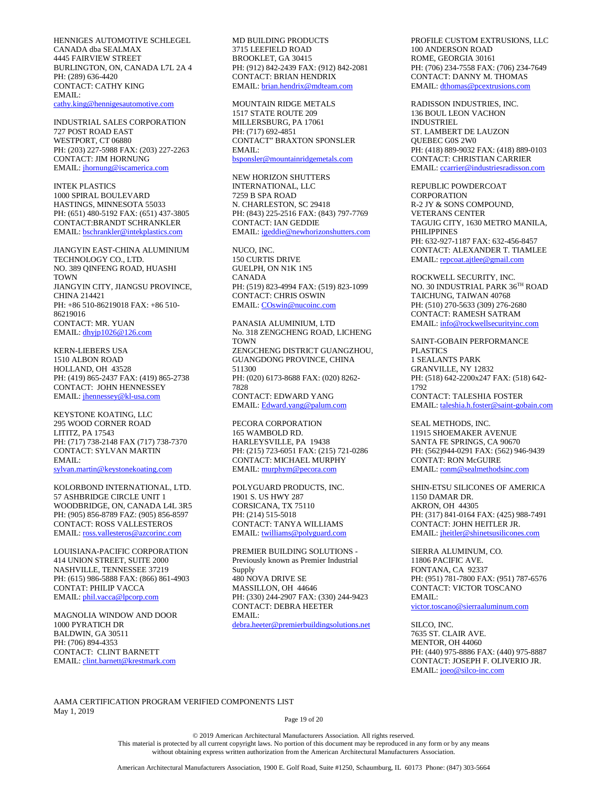HENNIGES AUTOMOTIVE SCHLEGEL CANADA dba SEALMAX 4445 FAIRVIEW STREET BURLINGTON, ON, CANADA L7L 2A 4 PH: (289) 636-4420 CONTACT: CATHY KING EMAIL: [cathy.king@hennigesautomotive.com](mailto:cathy.king@hennigesautomotive.com)

INDUSTRIAL SALES CORPORATION 727 POST ROAD EAST WESTPORT, CT 06880 PH: (203) 227-5988 FAX: (203) 227-2263 CONTACT: JIM HORNUNG EMAIL[: jhornung@iscamerica.com](mailto:jhornung@iscamerica.com)

INTEK PLASTICS 1000 SPIRAL BOULEVARD HASTINGS, MINNESOTA 55033 PH: (651) 480-5192 FAX: (651) 437-3805 CONTACT:BRANDT SCHRANKLER EMAIL[: bschrankler@intekplastics.com](mailto:bschrankler@intekplastics.com)

JIANGYIN EAST-CHINA ALUMINIUM TECHNOLOGY CO., LTD. NO. 389 QINFENG ROAD, HUASHI TOWN JIANGYIN CITY, JIANGSU PROVINCE, CHINA 214421 PH: +86 510-86219018 FAX: +86 510- 86219016 CONTACT: MR. YUAN EMAIL[: dhyjp1026@126.com](mailto:dhyjp1026@126.com)

KERN-LIEBERS USA 1510 ALBON ROAD HOLLAND, OH 43528 PH: (419) 865-2437 FAX: (419) 865-2738 CONTACT: JOHN HENNESSEY EMAIL[: jhennessey@kl-usa.com](mailto:jhennessey@kl-usa.com)

KEYSTONE KOATING, LLC 295 WOOD CORNER ROAD LITITZ, PA 17543 PH: (717) 738-2148 FAX (717) 738-7370 CONTACT: SYLVAN MARTIN EMAIL: [sylvan.martin@keystonekoating.com](mailto:sylvan.martin@keystonekoating.com)

KOLORBOND INTERNATIONAL, LTD. 57 ASHBRIDGE CIRCLE UNIT 1 WOODBRIDGE, ON, CANADA L4L 3R5 PH: (905) 856-8789 FAZ: (905) 856-8597 CONTACT: ROSS VALLESTEROS EMAIL[: ross.vallesteros@azcorinc.com](mailto:ross.vallesteros@azcorinc.com)

LOUISIANA-PACIFIC CORPORATION 414 UNION STREET, SUITE 2000 NASHVILLE, TENNESSEE 37219 PH: (615) 986-5888 FAX: (866) 861-4903 CONTAT: PHILIP VACCA EMAIL[: phil.vacca@lpcorp.com](mailto:phil.vacca@lpcorp.com)

MAGNOLIA WINDOW AND DOOR 1000 PYRATICH DR BALDWIN, GA 30511 PH: (706) 894-4353 CONTACT: CLINT BARNETT EMAIL: [clint.barnett@krestmark.com](mailto:clint.barnett@krestmark.com)

MD BUILDING PRODUCTS 3715 LEEFIELD ROAD BROOKLET, GA 30415 PH: (912) 842-2439 FAX: (912) 842-2081 CONTACT: BRIAN HENDRIX EMAIL[: brian.hendrix@mdteam.com](mailto:brian.hendrix@mdteam.com)

MOUNTAIN RIDGE METALS 1517 STATE ROUTE 209 MILLERSBURG, PA 17061 PH: (717) 692-4851 CONTACT" BRAXTON SPONSLER EMAIL: [bsponsler@mountainridgemetals.com](mailto:bsponsler@mountainridgemetals.com)

NEW HORIZON SHUTTERS INTERNATIONAL, LLC 7259 B SPA ROAD N. CHARLESTON, SC 29418 PH: (843) 225-2516 FAX: (843) 797-7769 CONTACT: IAN GEDDIE EMAIL[: igeddie@newhorizonshutters.com](mailto:igeddie@newhorizonshutters.com)

NUCO, INC. 150 CURTIS DRIVE GUELPH, ON N1K 1N5 CANADA PH: (519) 823-4994 FAX: (519) 823-1099 CONTACT: CHRIS OSWIN EMAIL[: COswin@nucoinc.com](mailto:COswin@nucoinc.com)

PANASIA ALUMINIUM, LTD No. 318 ZENGCHENG ROAD, LICHENG **TOWN** ZENGCHENG DISTRICT GUANGZHOU, GUANGDONG PROVINCE, CHINA 511300 PH: (020) 6173-8688 FAX: (020) 8262- 7828 CONTACT: EDWARD YANG EMAIL[: Edward.yang@palum.com](mailto:Edward.yang@palum.com)

PECORA CORPORATION 165 WAMBOLD RD. HARLEYSVILLE, PA 19438 PH: (215) 723-6051 FAX: (215) 721-0286 CONTACT: MICHAEL MURPHY EMAIL[: murphym@pecora.com](mailto:murphym@pecora.com)

POLYGUARD PRODUCTS, INC. 1901 S. US HWY 287 CORSICANA, TX 75110 PH: (214) 515-5018 CONTACT: TANYA WILLIAMS EMAIL[: twilliams@polyguard.com](mailto:twilliams@polyguard.com)

PREMIER BUILDING SOLUTIONS - Previously known as Premier Industrial Supply 480 NOVA DRIVE SE MASSILLON, OH 44646 PH: (330) 244-2907 FAX: (330) 244-9423 CONTACT: DEBRA HEETER EMAIL: [debra.heeter@premierbuildingsolutions.net](mailto:debra.heeter@premierbuildingsolutions.net) PROFILE CUSTOM EXTRUSIONS, LLC 100 ANDERSON ROAD ROME, GEORGIA 30161 PH: (706) 234-7558 FAX: (706) 234-7649 CONTACT: DANNY M. THOMAS EMAIL[: dthomas@pcextrusions.com](mailto:dthomas@pcextrusions.com)

RADISSON INDUSTRIES, INC. 136 BOUL LEON VACHON INDUSTRIEL ST. LAMBERT DE LAUZON QUEBEC G0S 2W0 PH: (418) 889-9032 FAX: (418) 889-0103 CONTACT: CHRISTIAN CARRIER EMAIL[: ccarrier@industriesradisson.com](mailto:ccarrier@industriesradisson.com)

REPUBLIC POWDERCOAT **CORPORATION** R-2 JY & SONS COMPOUND, VETERANS CENTER TAGUIG CITY, 1630 METRO MANILA, PHILIPPINES PH: 632-927-1187 FAX: 632-456-8457 CONTACT: ALEXANDER T. TIAMLEE EMAIL[: repcoat.ajtlee@gmail.com](mailto:repcoat.ajtlee@gmail.com)

ROCKWELL SECURITY, INC. NO. 30 INDUSTRIAL PARK 36TH ROAD TAICHUNG, TAIWAN 40768 PH: (510) 270-5633 (309) 276-2680 CONTACT: RAMESH SATRAM EMAIL[: info@rockwellsecurityinc.com](mailto:info@rockwellsecurityinc.com)

SAINT-GOBAIN PERFORMANCE PLASTICS 1 SEALANTS PARK GRANVILLE, NY 12832 PH: (518) 642-2200x247 FAX: (518) 642- 1792 CONTACT: TALESHIA FOSTER EMAIL[: taleshia.h.foster@saint-gobain.com](mailto:taleshia.h.foster@saint-gobain.com)

SEAL METHODS, INC. 11915 SHOEMAKER AVENUE SANTA FE SPRINGS, CA 90670 PH: (562)944-0291 FAX: (562) 946-9439 CONTAT: RON McGUIRE EMAIL: ronm@sealmethodsinc.com

SHIN-ETSU SILICONES OF AMERICA 1150 DAMAR DR. AKRON, OH 44305 PH: (317) 841-0164 FAX: (425) 988-7491 CONTACT: JOHN HEITLER JR. EMAIL[: jheitler@shinetsusilicones.com](mailto:jheitler@shinetsusilicones.com)

SIERRA ALUMINUM, CO. 11806 PACIFIC AVE. FONTANA, CA 92337 PH: (951) 781-7800 FAX: (951) 787-6576 CONTACT: VICTOR TOSCANO EMAIL: [victor.toscano@sierraaluminum.com](mailto:victor.toscano@sierraaluminum.com)

SILCO, INC. 7635 ST. CLAIR AVE. MENTOR, OH 44060 PH: (440) 975-8886 FAX: (440) 975-8887 CONTACT: JOSEPH F. OLIVERIO JR. EMAIL[: joeo@silco-inc.com](mailto:joeo@silco-inc.com)

AAMA CERTIFICATION PROGRAM VERIFIED COMPONENTS LIST May 1, 2019

Page 19 of 20